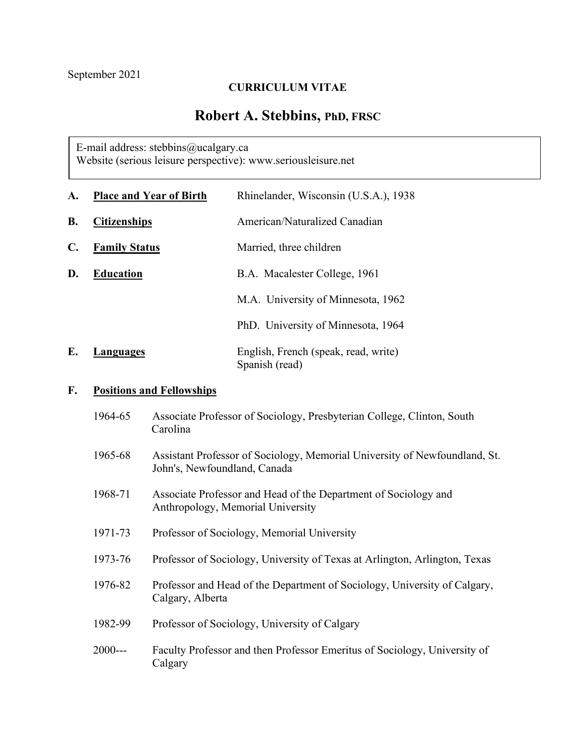## **CURRICULUM VITAE**

# **Robert A. Stebbins, PhD, FRSC**

E-mail address: [stebbins@ucalgary.ca](mailto:stebbins@ucalgary.ca) Website (serious leisure perspective): www.seriousleisure.net

| A.             | <b>Place and Year of Birth</b> | Rhinelander, Wisconsin (U.S.A.), 1938                  |
|----------------|--------------------------------|--------------------------------------------------------|
| <b>B.</b>      | <b>Citizenships</b>            | American/Naturalized Canadian                          |
| $\mathbf{C}$ . | <b>Family Status</b>           | Married, three children                                |
| D.             | <b>Education</b>               | B.A. Macalester College, 1961                          |
|                |                                | M.A. University of Minnesota, 1962                     |
|                |                                | PhD. University of Minnesota, 1964                     |
| Е.             | Languages                      | English, French (speak, read, write)<br>Spanish (read) |

## **F. Positions and Fellowships**

| 1964-65 | Associate Professor of Sociology, Presbyterian College, Clinton, South<br>Carolina                         |
|---------|------------------------------------------------------------------------------------------------------------|
| 1965-68 | Assistant Professor of Sociology, Memorial University of Newfoundland, St.<br>John's, Newfoundland, Canada |
| 1968-71 | Associate Professor and Head of the Department of Sociology and<br>Anthropology, Memorial University       |
| 1971-73 | Professor of Sociology, Memorial University                                                                |
| 1973-76 | Professor of Sociology, University of Texas at Arlington, Arlington, Texas                                 |
| 1976-82 | Professor and Head of the Department of Sociology, University of Calgary,<br>Calgary, Alberta              |
| 1982-99 | Professor of Sociology, University of Calgary                                                              |
| 2000--- | Faculty Professor and then Professor Emeritus of Sociology, University of<br>Calgary                       |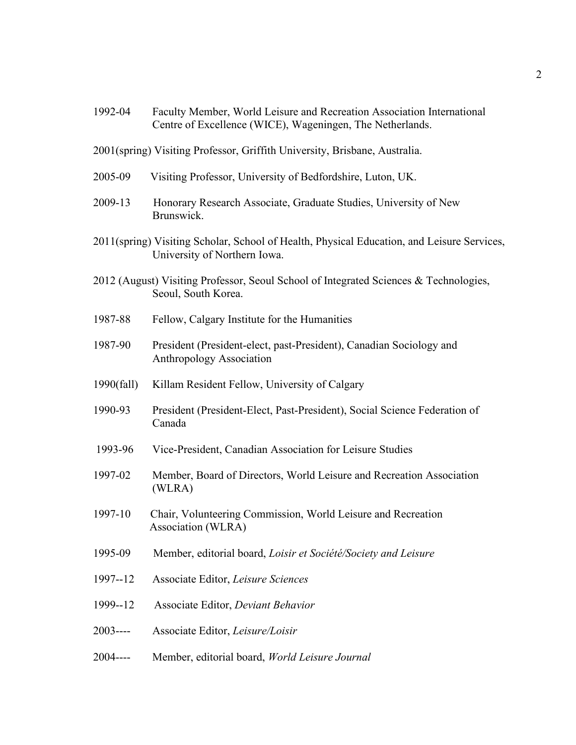| 1992-04    | Faculty Member, World Leisure and Recreation Association International<br>Centre of Excellence (WICE), Wageningen, The Netherlands. |
|------------|-------------------------------------------------------------------------------------------------------------------------------------|
|            | 2001(spring) Visiting Professor, Griffith University, Brisbane, Australia.                                                          |
| 2005-09    | Visiting Professor, University of Bedfordshire, Luton, UK.                                                                          |
| 2009-13    | Honorary Research Associate, Graduate Studies, University of New<br>Brunswick.                                                      |
|            | 2011(spring) Visiting Scholar, School of Health, Physical Education, and Leisure Services,<br>University of Northern Iowa.          |
|            | 2012 (August) Visiting Professor, Seoul School of Integrated Sciences & Technologies,<br>Seoul, South Korea.                        |
| 1987-88    | Fellow, Calgary Institute for the Humanities                                                                                        |
| 1987-90    | President (President-elect, past-President), Canadian Sociology and<br>Anthropology Association                                     |
| 1990(fall) | Killam Resident Fellow, University of Calgary                                                                                       |
| 1990-93    | President (President-Elect, Past-President), Social Science Federation of<br>Canada                                                 |
| 1993-96    | Vice-President, Canadian Association for Leisure Studies                                                                            |
| 1997-02    | Member, Board of Directors, World Leisure and Recreation Association<br>(WLRA)                                                      |
| 1997-10    | Chair, Volunteering Commission, World Leisure and Recreation<br>Association (WLRA)                                                  |
| 1995-09    | Member, editorial board, Loisir et Société/Society and Leisure                                                                      |
| 1997--12   | Associate Editor, Leisure Sciences                                                                                                  |
| 1999--12   | Associate Editor, Deviant Behavior                                                                                                  |
| $2003---$  | Associate Editor, Leisure/Loisir                                                                                                    |
| $2004---$  | Member, editorial board, World Leisure Journal                                                                                      |
|            |                                                                                                                                     |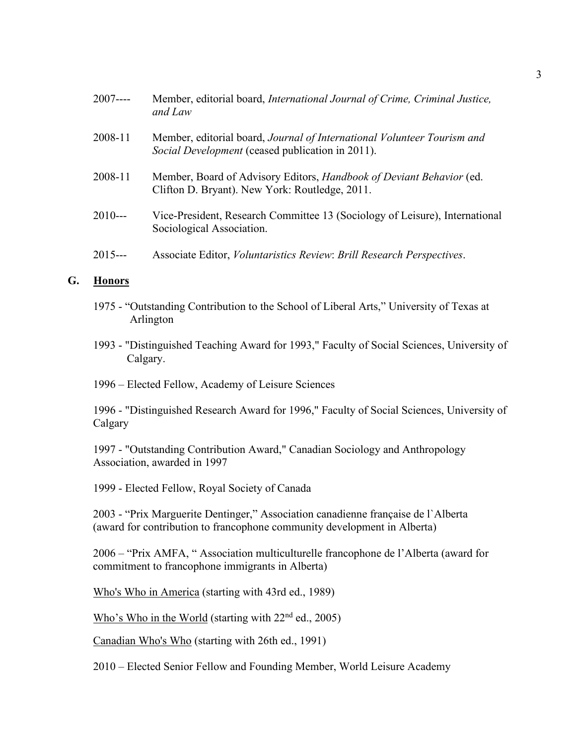| $2007---$ | Member, editorial board, International Journal of Crime, Criminal Justice,<br>and Law                                       |
|-----------|-----------------------------------------------------------------------------------------------------------------------------|
| 2008-11   | Member, editorial board, Journal of International Volunteer Tourism and<br>Social Development (ceased publication in 2011). |
| 2008-11   | Member, Board of Advisory Editors, Handbook of Deviant Behavior (ed.<br>Clifton D. Bryant). New York: Routledge, 2011.      |
| $2010--$  | Vice-President, Research Committee 13 (Sociology of Leisure), International<br>Sociological Association.                    |
| $2015--$  | Associate Editor, Voluntaristics Review: Brill Research Perspectives.                                                       |

#### **G. Honors**

- 1975 "Outstanding Contribution to the School of Liberal Arts," University of Texas at Arlington
- 1993 "Distinguished Teaching Award for 1993," Faculty of Social Sciences, University of Calgary.
- 1996 Elected Fellow, Academy of Leisure Sciences

1996 - "Distinguished Research Award for 1996," Faculty of Social Sciences, University of Calgary

1997 - "Outstanding Contribution Award," Canadian Sociology and Anthropology Association, awarded in 1997

1999 - Elected Fellow, Royal Society of Canada

2003 - "Prix Marguerite Dentinger," Association canadienne française de l`Alberta (award for contribution to francophone community development in Alberta)

2006 – "Prix AMFA, " Association multiculturelle francophone de l'Alberta (award for commitment to francophone immigrants in Alberta)

Who's Who in America (starting with 43rd ed., 1989)

Who's Who in the World (starting with  $22<sup>nd</sup>$  ed., 2005)

Canadian Who's Who (starting with 26th ed., 1991)

2010 – Elected Senior Fellow and Founding Member, World Leisure Academy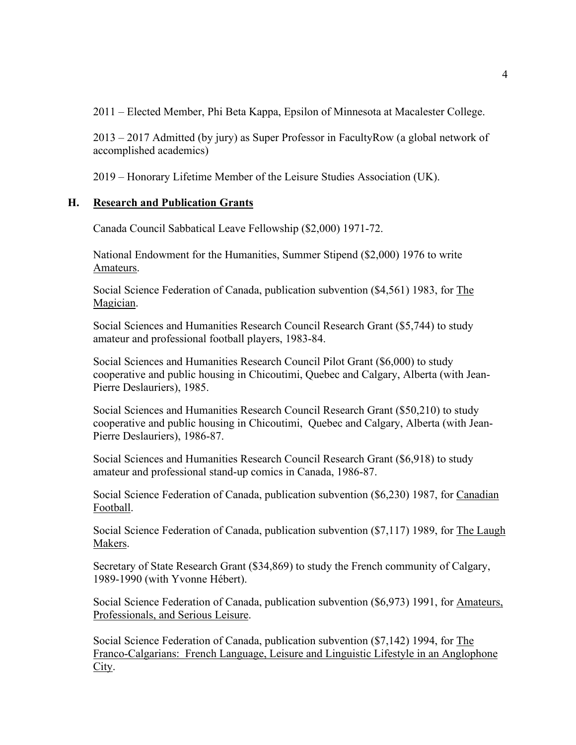2011 – Elected Member, Phi Beta Kappa, Epsilon of Minnesota at Macalester College.

2013 – 2017 Admitted (by jury) as Super Professor in FacultyRow (a global network of accomplished academics)

2019 – Honorary Lifetime Member of the Leisure Studies Association (UK).

### **H. Research and Publication Grants**

Canada Council Sabbatical Leave Fellowship (\$2,000) 1971-72.

National Endowment for the Humanities, Summer Stipend (\$2,000) 1976 to write Amateurs.

Social Science Federation of Canada, publication subvention (\$4,561) 1983, for The Magician.

Social Sciences and Humanities Research Council Research Grant (\$5,744) to study amateur and professional football players, 1983-84.

Social Sciences and Humanities Research Council Pilot Grant (\$6,000) to study cooperative and public housing in Chicoutimi, Quebec and Calgary, Alberta (with Jean-Pierre Deslauriers), 1985.

Social Sciences and Humanities Research Council Research Grant (\$50,210) to study cooperative and public housing in Chicoutimi, Quebec and Calgary, Alberta (with Jean-Pierre Deslauriers), 1986-87.

Social Sciences and Humanities Research Council Research Grant (\$6,918) to study amateur and professional stand-up comics in Canada, 1986-87.

Social Science Federation of Canada, publication subvention (\$6,230) 1987, for Canadian Football.

Social Science Federation of Canada, publication subvention (\$7,117) 1989, for The Laugh Makers.

Secretary of State Research Grant (\$34,869) to study the French community of Calgary, 1989-1990 (with Yvonne Hébert).

Social Science Federation of Canada, publication subvention (\$6,973) 1991, for Amateurs, Professionals, and Serious Leisure.

Social Science Federation of Canada, publication subvention (\$7,142) 1994, for The Franco-Calgarians: French Language, Leisure and Linguistic Lifestyle in an Anglophone City.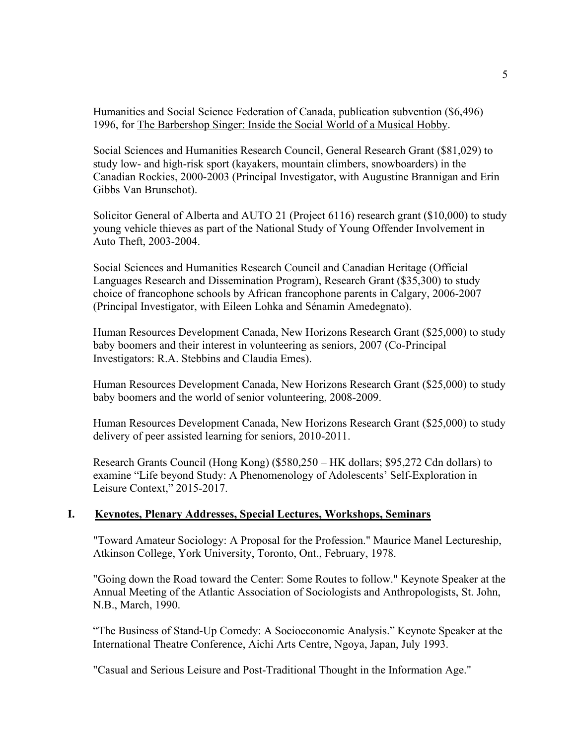Humanities and Social Science Federation of Canada, publication subvention (\$6,496) 1996, for The Barbershop Singer: Inside the Social World of a Musical Hobby.

Social Sciences and Humanities Research Council, General Research Grant (\$81,029) to study low- and high-risk sport (kayakers, mountain climbers, snowboarders) in the Canadian Rockies, 2000-2003 (Principal Investigator, with Augustine Brannigan and Erin Gibbs Van Brunschot).

Solicitor General of Alberta and AUTO 21 (Project 6116) research grant (\$10,000) to study young vehicle thieves as part of the National Study of Young Offender Involvement in Auto Theft, 2003-2004.

Social Sciences and Humanities Research Council and Canadian Heritage (Official Languages Research and Dissemination Program), Research Grant (\$35,300) to study choice of francophone schools by African francophone parents in Calgary, 2006-2007 (Principal Investigator, with Eileen Lohka and Sénamin Amedegnato).

Human Resources Development Canada, New Horizons Research Grant (\$25,000) to study baby boomers and their interest in volunteering as seniors, 2007 (Co-Principal Investigators: R.A. Stebbins and Claudia Emes).

Human Resources Development Canada, New Horizons Research Grant (\$25,000) to study baby boomers and the world of senior volunteering, 2008-2009.

Human Resources Development Canada, New Horizons Research Grant (\$25,000) to study delivery of peer assisted learning for seniors, 2010-2011.

Research Grants Council (Hong Kong) (\$580,250 – HK dollars; \$95,272 Cdn dollars) to examine "Life beyond Study: A Phenomenology of Adolescents' Self-Exploration in Leisure Context," 2015-2017.

#### **I. Keynotes, Plenary Addresses, Special Lectures, Workshops, Seminars**

"Toward Amateur Sociology: A Proposal for the Profession." Maurice Manel Lectureship, Atkinson College, York University, Toronto, Ont., February, 1978.

"Going down the Road toward the Center: Some Routes to follow." Keynote Speaker at the Annual Meeting of the Atlantic Association of Sociologists and Anthropologists, St. John, N.B., March, 1990.

"The Business of Stand-Up Comedy: A Socioeconomic Analysis." Keynote Speaker at the International Theatre Conference, Aichi Arts Centre, Ngoya, Japan, July 1993.

"Casual and Serious Leisure and Post-Traditional Thought in the Information Age."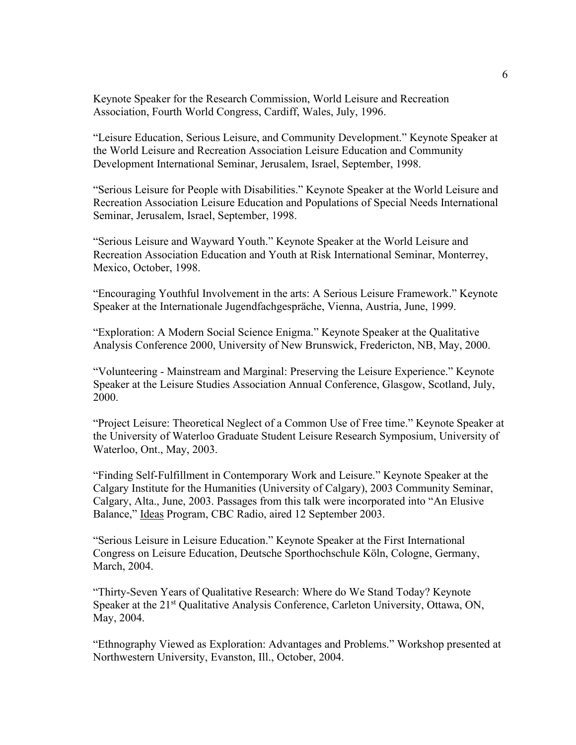Keynote Speaker for the Research Commission, World Leisure and Recreation Association, Fourth World Congress, Cardiff, Wales, July, 1996.

"Leisure Education, Serious Leisure, and Community Development." Keynote Speaker at the World Leisure and Recreation Association Leisure Education and Community Development International Seminar, Jerusalem, Israel, September, 1998.

"Serious Leisure for People with Disabilities." Keynote Speaker at the World Leisure and Recreation Association Leisure Education and Populations of Special Needs International Seminar, Jerusalem, Israel, September, 1998.

"Serious Leisure and Wayward Youth." Keynote Speaker at the World Leisure and Recreation Association Education and Youth at Risk International Seminar, Monterrey, Mexico, October, 1998.

"Encouraging Youthful Involvement in the arts: A Serious Leisure Framework." Keynote Speaker at the Internationale Jugendfachgespräche, Vienna, Austria, June, 1999.

"Exploration: A Modern Social Science Enigma." Keynote Speaker at the Qualitative Analysis Conference 2000, University of New Brunswick, Fredericton, NB, May, 2000.

"Volunteering - Mainstream and Marginal: Preserving the Leisure Experience." Keynote Speaker at the Leisure Studies Association Annual Conference, Glasgow, Scotland, July, 2000.

"Project Leisure: Theoretical Neglect of a Common Use of Free time." Keynote Speaker at the University of Waterloo Graduate Student Leisure Research Symposium, University of Waterloo, Ont., May, 2003.

"Finding Self-Fulfillment in Contemporary Work and Leisure." Keynote Speaker at the Calgary Institute for the Humanities (University of Calgary), 2003 Community Seminar, Calgary, Alta., June, 2003. Passages from this talk were incorporated into "An Elusive Balance," Ideas Program, CBC Radio, aired 12 September 2003.

"Serious Leisure in Leisure Education." Keynote Speaker at the First International Congress on Leisure Education, Deutsche Sporthochschule Köln, Cologne, Germany, March, 2004.

"Thirty-Seven Years of Qualitative Research: Where do We Stand Today? Keynote Speaker at the 21<sup>st</sup> Qualitative Analysis Conference, Carleton University, Ottawa, ON, May, 2004.

"Ethnography Viewed as Exploration: Advantages and Problems." Workshop presented at Northwestern University, Evanston, Ill., October, 2004.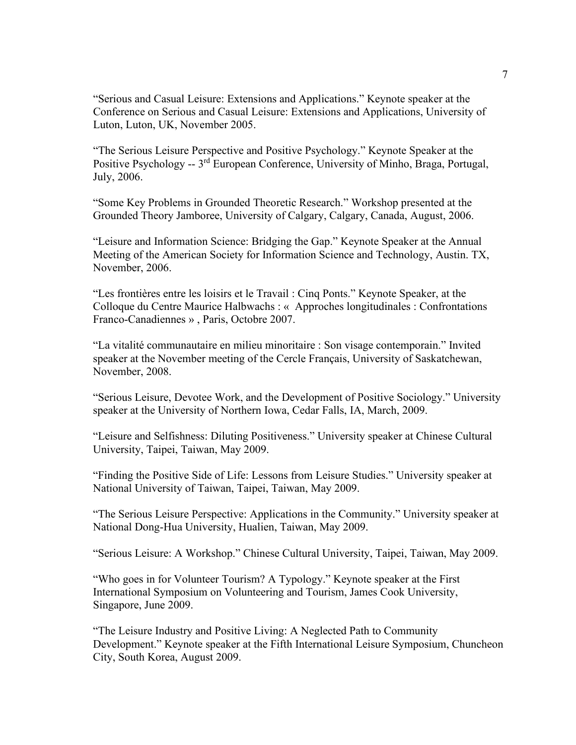"Serious and Casual Leisure: Extensions and Applications." Keynote speaker at the Conference on Serious and Casual Leisure: Extensions and Applications, University of Luton, Luton, UK, November 2005.

"The Serious Leisure Perspective and Positive Psychology." Keynote Speaker at the Positive Psychology -- 3rd European Conference, University of Minho, Braga, Portugal, July, 2006.

"Some Key Problems in Grounded Theoretic Research." Workshop presented at the Grounded Theory Jamboree, University of Calgary, Calgary, Canada, August, 2006.

"Leisure and Information Science: Bridging the Gap." Keynote Speaker at the Annual Meeting of the American Society for Information Science and Technology, Austin. TX, November, 2006.

"Les frontières entre les loisirs et le Travail : Cinq Ponts." Keynote Speaker, at the Colloque du Centre Maurice Halbwachs : « Approches longitudinales : Confrontations Franco-Canadiennes » , Paris, Octobre 2007.

"La vitalité communautaire en milieu minoritaire : Son visage contemporain." Invited speaker at the November meeting of the Cercle Français, University of Saskatchewan, November, 2008.

"Serious Leisure, Devotee Work, and the Development of Positive Sociology." University speaker at the University of Northern Iowa, Cedar Falls, IA, March, 2009.

"Leisure and Selfishness: Diluting Positiveness." University speaker at Chinese Cultural University, Taipei, Taiwan, May 2009.

"Finding the Positive Side of Life: Lessons from Leisure Studies." University speaker at National University of Taiwan, Taipei, Taiwan, May 2009.

"The Serious Leisure Perspective: Applications in the Community." University speaker at National Dong-Hua University, Hualien, Taiwan, May 2009.

"Serious Leisure: A Workshop." Chinese Cultural University, Taipei, Taiwan, May 2009.

"Who goes in for Volunteer Tourism? A Typology." Keynote speaker at the First International Symposium on Volunteering and Tourism, James Cook University, Singapore, June 2009.

"The Leisure Industry and Positive Living: A Neglected Path to Community Development." Keynote speaker at the Fifth International Leisure Symposium, Chuncheon City, South Korea, August 2009.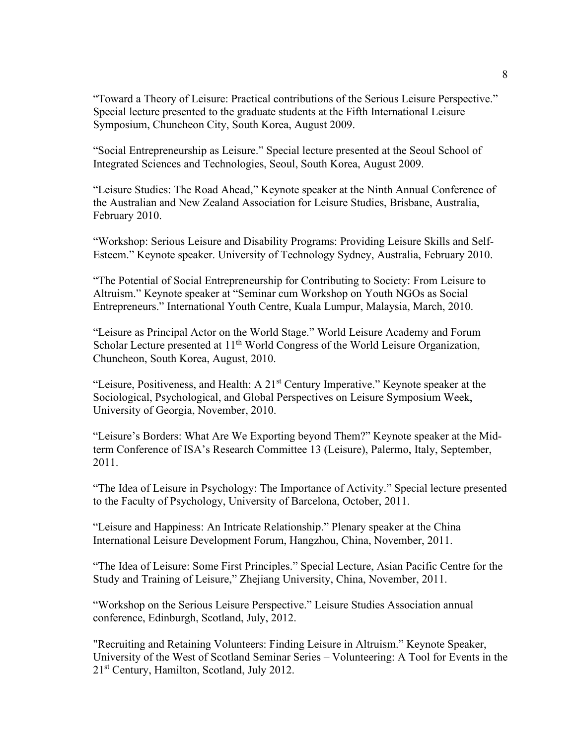"Toward a Theory of Leisure: Practical contributions of the Serious Leisure Perspective." Special lecture presented to the graduate students at the Fifth International Leisure Symposium, Chuncheon City, South Korea, August 2009.

"Social Entrepreneurship as Leisure." Special lecture presented at the Seoul School of Integrated Sciences and Technologies, Seoul, South Korea, August 2009.

"Leisure Studies: The Road Ahead," Keynote speaker at the Ninth Annual Conference of the Australian and New Zealand Association for Leisure Studies, Brisbane, Australia, February 2010.

"Workshop: Serious Leisure and Disability Programs: Providing Leisure Skills and Self-Esteem." Keynote speaker. University of Technology Sydney, Australia, February 2010.

"The Potential of Social Entrepreneurship for Contributing to Society: From Leisure to Altruism." Keynote speaker at "Seminar cum Workshop on Youth NGOs as Social Entrepreneurs." International Youth Centre, Kuala Lumpur, Malaysia, March, 2010.

"Leisure as Principal Actor on the World Stage." World Leisure Academy and Forum Scholar Lecture presented at 11<sup>th</sup> World Congress of the World Leisure Organization, Chuncheon, South Korea, August, 2010.

"Leisure, Positiveness, and Health: A  $21<sup>st</sup>$  Century Imperative." Keynote speaker at the Sociological, Psychological, and Global Perspectives on Leisure Symposium Week, University of Georgia, November, 2010.

"Leisure's Borders: What Are We Exporting beyond Them?" Keynote speaker at the Midterm Conference of ISA's Research Committee 13 (Leisure), Palermo, Italy, September, 2011.

"The Idea of Leisure in Psychology: The Importance of Activity." Special lecture presented to the Faculty of Psychology, University of Barcelona, October, 2011.

"Leisure and Happiness: An Intricate Relationship." Plenary speaker at the China International Leisure Development Forum, Hangzhou, China, November, 2011.

"The Idea of Leisure: Some First Principles." Special Lecture, Asian Pacific Centre for the Study and Training of Leisure," Zhejiang University, China, November, 2011.

"Workshop on the Serious Leisure Perspective." Leisure Studies Association annual conference, Edinburgh, Scotland, July, 2012.

"Recruiting and Retaining Volunteers: Finding Leisure in Altruism." Keynote Speaker, University of the West of Scotland Seminar Series – Volunteering: A Tool for Events in the 21st Century, Hamilton, Scotland, July 2012.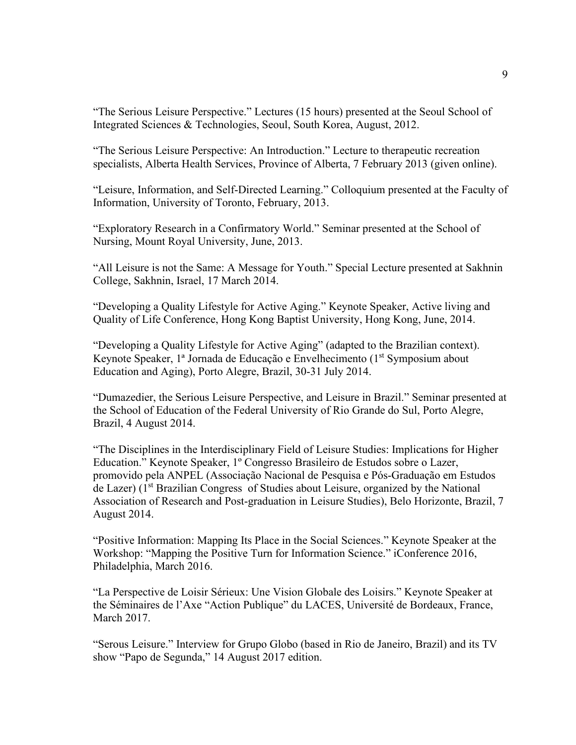"The Serious Leisure Perspective." Lectures (15 hours) presented at the Seoul School of Integrated Sciences & Technologies, Seoul, South Korea, August, 2012.

"The Serious Leisure Perspective: An Introduction." Lecture to therapeutic recreation specialists, Alberta Health Services, Province of Alberta, 7 February 2013 (given online).

"Leisure, Information, and Self-Directed Learning." Colloquium presented at the Faculty of Information, University of Toronto, February, 2013.

"Exploratory Research in a Confirmatory World." Seminar presented at the School of Nursing, Mount Royal University, June, 2013.

"All Leisure is not the Same: A Message for Youth." Special Lecture presented at Sakhnin College, Sakhnin, Israel, 17 March 2014.

"Developing a Quality Lifestyle for Active Aging." Keynote Speaker, Active living and Quality of Life Conference, Hong Kong Baptist University, Hong Kong, June, 2014.

"Developing a Quality Lifestyle for Active Aging" (adapted to the Brazilian context). Keynote Speaker, <sup>1ª</sup> Jornada de Educação e Envelhecimento (1<sup>st</sup> Symposium about Education and Aging), Porto Alegre, Brazil, 30-31 July 2014.

"Dumazedier, the Serious Leisure Perspective, and Leisure in Brazil." Seminar presented at the School of Education of the Federal University of Rio Grande do Sul, Porto Alegre, Brazil, 4 August 2014.

"The Disciplines in the Interdisciplinary Field of Leisure Studies: Implications for Higher Education." Keynote Speaker, 1º Congresso Brasileiro de Estudos sobre o Lazer, promovido pela ANPEL (Associação Nacional de Pesquisa e Pós-Graduação em Estudos de Lazer) (1<sup>st</sup> Brazilian Congress of Studies about Leisure, organized by the National Association of Research and Post-graduation in Leisure Studies), Belo Horizonte, Brazil, 7 August 2014.

"Positive Information: Mapping Its Place in the Social Sciences." Keynote Speaker at the Workshop: "Mapping the Positive Turn for Information Science." iConference 2016, Philadelphia, March 2016.

"La Perspective de Loisir Sérieux: Une Vision Globale des Loisirs." Keynote Speaker at the Séminaires de l'Axe "Action Publique" du LACES, Université de Bordeaux, France, March 2017.

"Serous Leisure." Interview for Grupo Globo (based in Rio de Janeiro, Brazil) and its TV show "Papo de Segunda," 14 August 2017 edition.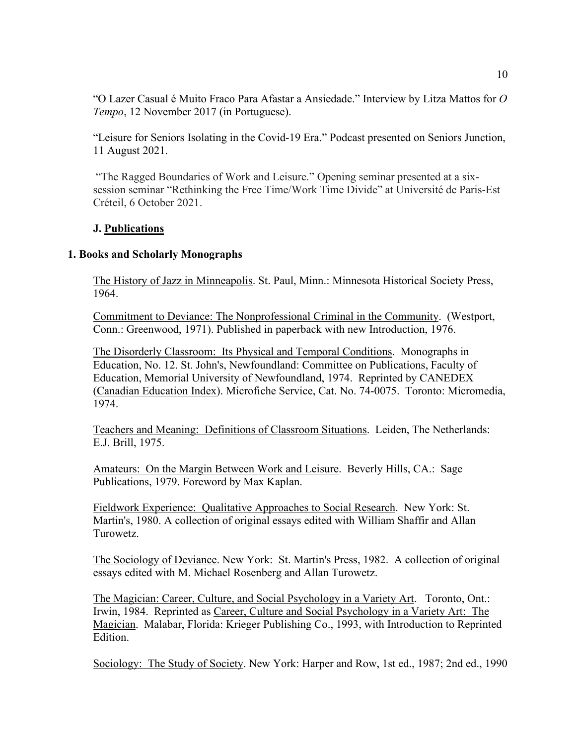"O Lazer Casual é Muito Fraco Para Afastar a Ansiedade." Interview by Litza Mattos for *O Tempo*, 12 November 2017 (in Portuguese).

"Leisure for Seniors Isolating in the Covid-19 Era." Podcast presented on Seniors Junction, 11 August 2021.

"The Ragged Boundaries of Work and Leisure." Opening seminar presented at a sixsession seminar "Rethinking the Free Time/Work Time Divide" at Université de Paris-Est Créteil, 6 October 2021.

## **J. Publications**

#### **1. Books and Scholarly Monographs**

The History of Jazz in Minneapolis. St. Paul, Minn.: Minnesota Historical Society Press, 1964.

Commitment to Deviance: The Nonprofessional Criminal in the Community. (Westport, Conn.: Greenwood, 1971). Published in paperback with new Introduction, 1976.

The Disorderly Classroom: Its Physical and Temporal Conditions. Monographs in Education, No. 12. St. John's, Newfoundland: Committee on Publications, Faculty of Education, Memorial University of Newfoundland, 1974. Reprinted by CANEDEX (Canadian Education Index). Microfiche Service, Cat. No. 74-0075. Toronto: Micromedia, 1974.

Teachers and Meaning: Definitions of Classroom Situations. Leiden, The Netherlands: E.J. Brill, 1975.

Amateurs: On the Margin Between Work and Leisure. Beverly Hills, CA.: Sage Publications, 1979. Foreword by Max Kaplan.

Fieldwork Experience: Qualitative Approaches to Social Research. New York: St. Martin's, 1980. A collection of original essays edited with William Shaffir and Allan Turowetz.

The Sociology of Deviance. New York: St. Martin's Press, 1982. A collection of original essays edited with M. Michael Rosenberg and Allan Turowetz.

The Magician: Career, Culture, and Social Psychology in a Variety Art. Toronto, Ont.: Irwin, 1984. Reprinted as Career, Culture and Social Psychology in a Variety Art: The Magician. Malabar, Florida: Krieger Publishing Co., 1993, with Introduction to Reprinted Edition.

Sociology: The Study of Society. New York: Harper and Row, 1st ed., 1987; 2nd ed., 1990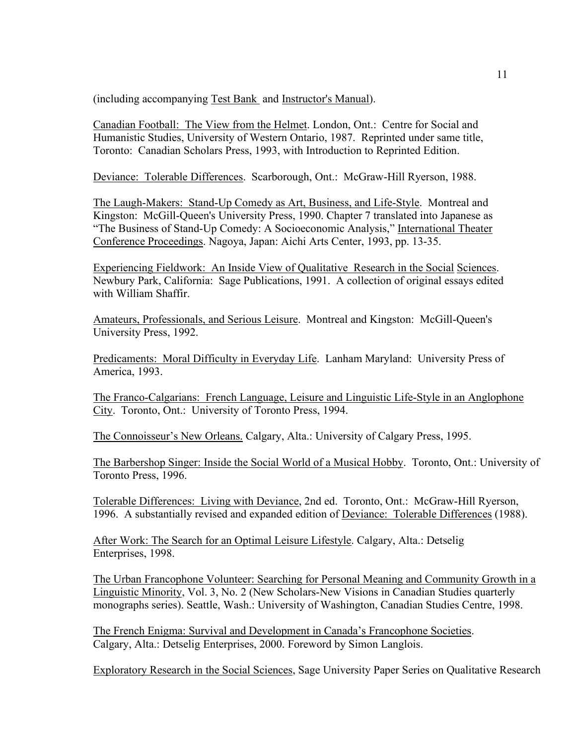(including accompanying Test Bank and Instructor's Manual).

Canadian Football: The View from the Helmet. London, Ont.: Centre for Social and Humanistic Studies, University of Western Ontario, 1987. Reprinted under same title, Toronto: Canadian Scholars Press, 1993, with Introduction to Reprinted Edition.

Deviance: Tolerable Differences. Scarborough, Ont.: McGraw-Hill Ryerson, 1988.

The Laugh-Makers: Stand-Up Comedy as Art, Business, and Life-Style. Montreal and Kingston: McGill-Queen's University Press, 1990. Chapter 7 translated into Japanese as "The Business of Stand-Up Comedy: A Socioeconomic Analysis," International Theater Conference Proceedings. Nagoya, Japan: Aichi Arts Center, 1993, pp. 13-35.

Experiencing Fieldwork: An Inside View of Qualitative Research in the Social Sciences. Newbury Park, California: Sage Publications, 1991. A collection of original essays edited with William Shaffir.

Amateurs, Professionals, and Serious Leisure. Montreal and Kingston: McGill-Queen's University Press, 1992.

Predicaments: Moral Difficulty in Everyday Life. Lanham Maryland: University Press of America, 1993.

The Franco-Calgarians: French Language, Leisure and Linguistic Life-Style in an Anglophone City. Toronto, Ont.: University of Toronto Press, 1994.

The Connoisseur's New Orleans. Calgary, Alta.: University of Calgary Press, 1995.

The Barbershop Singer: Inside the Social World of a Musical Hobby. Toronto, Ont.: University of Toronto Press, 1996.

Tolerable Differences: Living with Deviance, 2nd ed. Toronto, Ont.: McGraw-Hill Ryerson, 1996. A substantially revised and expanded edition of Deviance: Tolerable Differences (1988).

After Work: The Search for an Optimal Leisure Lifestyle. Calgary, Alta.: Detselig Enterprises, 1998.

The Urban Francophone Volunteer: Searching for Personal Meaning and Community Growth in a Linguistic Minority, Vol. 3, No. 2 (New Scholars-New Visions in Canadian Studies quarterly monographs series). Seattle, Wash.: University of Washington, Canadian Studies Centre, 1998.

 The French Enigma: Survival and Development in Canada's Francophone Societies. Calgary, Alta.: Detselig Enterprises, 2000. Foreword by Simon Langlois.

Exploratory Research in the Social Sciences, Sage University Paper Series on Qualitative Research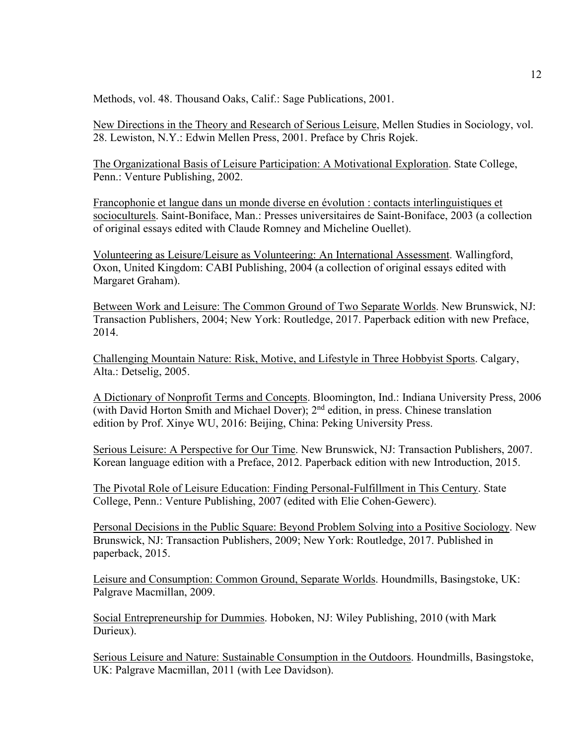Methods, vol. 48. Thousand Oaks, Calif.: Sage Publications, 2001.

New Directions in the Theory and Research of Serious Leisure, Mellen Studies in Sociology, vol. 28. Lewiston, N.Y.: Edwin Mellen Press, 2001. Preface by Chris Rojek.

The Organizational Basis of Leisure Participation: A Motivational Exploration. State College, Penn.: Venture Publishing, 2002.

Francophonie et langue dans un monde diverse en évolution : contacts interlinguistiques et socioculturels. Saint-Boniface, Man.: Presses universitaires de Saint-Boniface, 2003 (a collection of original essays edited with Claude Romney and Micheline Ouellet).

Volunteering as Leisure/Leisure as Volunteering: An International Assessment. Wallingford, Oxon, United Kingdom: CABI Publishing, 2004 (a collection of original essays edited with Margaret Graham).

Between Work and Leisure: The Common Ground of Two Separate Worlds. New Brunswick, NJ: Transaction Publishers, 2004; New York: Routledge, 2017. Paperback edition with new Preface, 2014.

Challenging Mountain Nature: Risk, Motive, and Lifestyle in Three Hobbyist Sports. Calgary, Alta.: Detselig, 2005.

A Dictionary of Nonprofit Terms and Concepts. Bloomington, Ind.: Indiana University Press, 2006 (with David Horton Smith and Michael Dover); 2nd edition, in press. Chinese translation edition by Prof. Xinye WU, 2016: Beijing, China: Peking University Press.

Serious Leisure: A Perspective for Our Time. New Brunswick, NJ: Transaction Publishers, 2007. Korean language edition with a Preface, 2012. Paperback edition with new Introduction, 2015.

The Pivotal Role of Leisure Education: Finding Personal-Fulfillment in This Century. State College, Penn.: Venture Publishing, 2007 (edited with Elie Cohen-Gewerc).

Personal Decisions in the Public Square: Beyond Problem Solving into a Positive Sociology. New Brunswick, NJ: Transaction Publishers, 2009; New York: Routledge, 2017. Published in paperback, 2015.

Leisure and Consumption: Common Ground, Separate Worlds. Houndmills, Basingstoke, UK: Palgrave Macmillan, 2009.

Social Entrepreneurship for Dummies. Hoboken, NJ: Wiley Publishing, 2010 (with Mark Durieux).

Serious Leisure and Nature: Sustainable Consumption in the Outdoors. Houndmills, Basingstoke, UK: Palgrave Macmillan, 2011 (with Lee Davidson).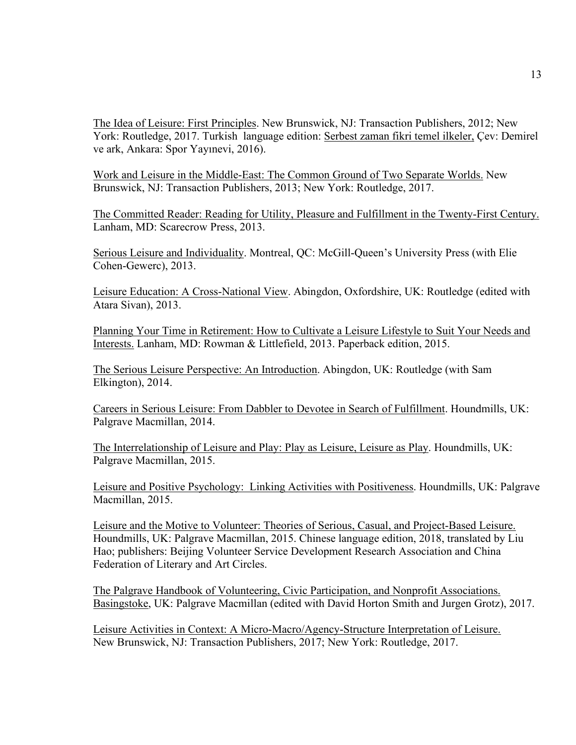The Idea of Leisure: First Principles. New Brunswick, NJ: Transaction Publishers, 2012; New York: Routledge, 2017. Turkish language edition: Serbest zaman fikri temel ilkeler, Çev: Demirel ve ark, Ankara: Spor Yayınevi, 2016).

Work and Leisure in the Middle-East: The Common Ground of Two Separate Worlds. New Brunswick, NJ: Transaction Publishers, 2013; New York: Routledge, 2017.

The Committed Reader: Reading for Utility, Pleasure and Fulfillment in the Twenty-First Century. Lanham, MD: Scarecrow Press, 2013.

Serious Leisure and Individuality. Montreal, QC: McGill-Queen's University Press (with Elie Cohen-Gewerc), 2013.

Leisure Education: A Cross-National View. Abingdon, Oxfordshire, UK: Routledge (edited with Atara Sivan), 2013.

Planning Your Time in Retirement: How to Cultivate a Leisure Lifestyle to Suit Your Needs and Interests. Lanham, MD: Rowman & Littlefield, 2013. Paperback edition, 2015.

The Serious Leisure Perspective: An Introduction. Abingdon, UK: Routledge (with Sam Elkington), 2014.

Careers in Serious Leisure: From Dabbler to Devotee in Search of Fulfillment. Houndmills, UK: Palgrave Macmillan, 2014.

The Interrelationship of Leisure and Play: Play as Leisure, Leisure as Play. Houndmills, UK: Palgrave Macmillan, 2015.

Leisure and Positive Psychology: Linking Activities with Positiveness. Houndmills, UK: Palgrave Macmillan, 2015.

Leisure and the Motive to Volunteer: Theories of Serious, Casual, and Project-Based Leisure. Houndmills, UK: Palgrave Macmillan, 2015. Chinese language edition, 2018, translated by Liu Hao; publishers: Beijing Volunteer Service Development Research Association and China Federation of Literary and Art Circles.

The Palgrave Handbook of Volunteering, Civic Participation, and Nonprofit Associations. Basingstoke, UK: Palgrave Macmillan (edited with David Horton Smith and Jurgen Grotz), 2017.

Leisure Activities in Context: A Micro-Macro/Agency-Structure Interpretation of Leisure. New Brunswick, NJ: Transaction Publishers, 2017; New York: Routledge, 2017.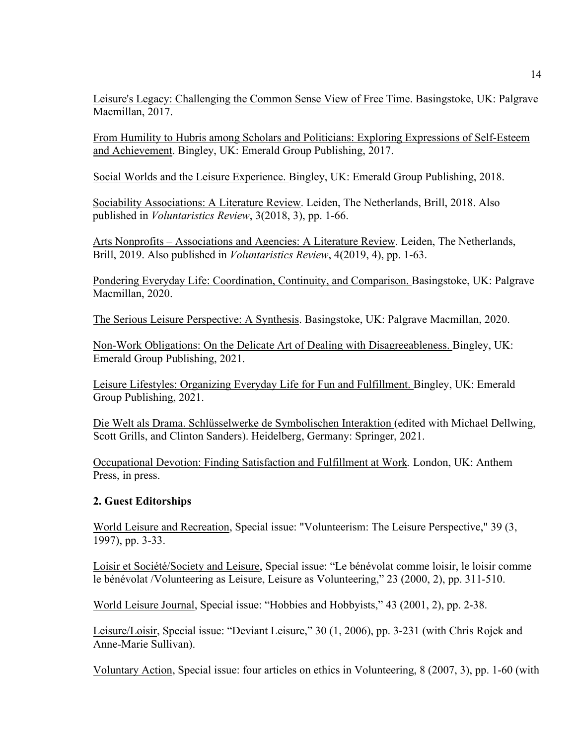Leisure's Legacy: Challenging the Common Sense View of Free Time. Basingstoke, UK: Palgrave Macmillan, 2017.

From Humility to Hubris among Scholars and Politicians: Exploring Expressions of Self-Esteem and Achievement. Bingley, UK: Emerald Group Publishing, 2017.

Social Worlds and the Leisure Experience. Bingley, UK: Emerald Group Publishing, 2018.

Sociability Associations: A Literature Review. Leiden, The Netherlands, Brill, 2018. Also published in *Voluntaristics Review*, 3(2018, 3), pp. 1-66.

Arts Nonprofits – Associations and Agencies: A Literature Review*.* Leiden, The Netherlands, Brill, 2019. Also published in *Voluntaristics Review*, 4(2019, 4), pp. 1-63.

Pondering Everyday Life: Coordination, Continuity, and Comparison. Basingstoke, UK: Palgrave Macmillan, 2020.

The Serious Leisure Perspective: A Synthesis. Basingstoke, UK: Palgrave Macmillan, 2020.

Non-Work Obligations: On the Delicate Art of Dealing with Disagreeableness. Bingley, UK: Emerald Group Publishing, 2021.

Leisure Lifestyles: Organizing Everyday Life for Fun and Fulfillment. Bingley, UK: Emerald Group Publishing, 2021.

Die Welt als Drama. Schlüsselwerke de Symbolischen Interaktion (edited with Michael Dellwing, Scott Grills, and Clinton Sanders). Heidelberg, Germany: Springer, 2021.

Occupational Devotion: Finding Satisfaction and Fulfillment at Work*.* London, UK: Anthem Press, in press.

## **2. Guest Editorships**

World Leisure and Recreation, Special issue: "Volunteerism: The Leisure Perspective," 39 (3, 1997), pp. 3-33.

Loisir et Société/Society and Leisure, Special issue: "Le bénévolat comme loisir, le loisir comme le bénévolat /Volunteering as Leisure, Leisure as Volunteering," 23 (2000, 2), pp. 311-510.

World Leisure Journal, Special issue: "Hobbies and Hobbyists," 43 (2001, 2), pp. 2-38.

Leisure/Loisir, Special issue: "Deviant Leisure," 30 (1, 2006), pp. 3-231 (with Chris Rojek and Anne-Marie Sullivan).

Voluntary Action, Special issue: four articles on ethics in Volunteering, 8 (2007, 3), pp. 1-60 (with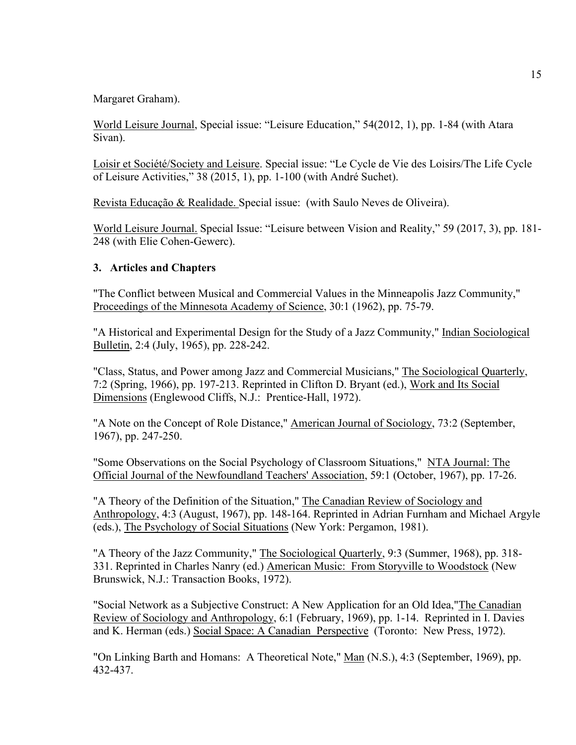Margaret Graham).

World Leisure Journal, Special issue: "Leisure Education," 54(2012, 1), pp. 1-84 (with Atara Sivan).

Loisir et Société/Society and Leisure. Special issue: "Le Cycle de Vie des Loisirs/The Life Cycle of Leisure Activities," 38 (2015, 1), pp. 1-100 (with André Suchet).

Revista Educação & Realidade. Special issue: (with Saulo Neves de Oliveira).

World Leisure Journal. Special Issue: "Leisure between Vision and Reality," 59 (2017, 3), pp. 181- 248 (with Elie Cohen-Gewerc).

### **3. Articles and Chapters**

"The Conflict between Musical and Commercial Values in the Minneapolis Jazz Community," Proceedings of the Minnesota Academy of Science, 30:1 (1962), pp. 75-79.

"A Historical and Experimental Design for the Study of a Jazz Community," Indian Sociological Bulletin, 2:4 (July, 1965), pp. 228-242.

"Class, Status, and Power among Jazz and Commercial Musicians," The Sociological Quarterly, 7:2 (Spring, 1966), pp. 197-213. Reprinted in Clifton D. Bryant (ed.), Work and Its Social Dimensions (Englewood Cliffs, N.J.: Prentice-Hall, 1972).

"A Note on the Concept of Role Distance," American Journal of Sociology, 73:2 (September, 1967), pp. 247-250.

"Some Observations on the Social Psychology of Classroom Situations," NTA Journal: The Official Journal of the Newfoundland Teachers' Association, 59:1 (October, 1967), pp. 17-26.

"A Theory of the Definition of the Situation," The Canadian Review of Sociology and Anthropology, 4:3 (August, 1967), pp. 148-164. Reprinted in Adrian Furnham and Michael Argyle (eds.), The Psychology of Social Situations (New York: Pergamon, 1981).

"A Theory of the Jazz Community," The Sociological Quarterly, 9:3 (Summer, 1968), pp. 318- 331. Reprinted in Charles Nanry (ed.) American Music: From Storyville to Woodstock (New Brunswick, N.J.: Transaction Books, 1972).

"Social Network as a Subjective Construct: A New Application for an Old Idea,"The Canadian Review of Sociology and Anthropology, 6:1 (February, 1969), pp. 1-14. Reprinted in I. Davies and K. Herman (eds.) Social Space: A Canadian Perspective (Toronto: New Press, 1972).

"On Linking Barth and Homans: A Theoretical Note," Man (N.S.), 4:3 (September, 1969), pp. 432-437.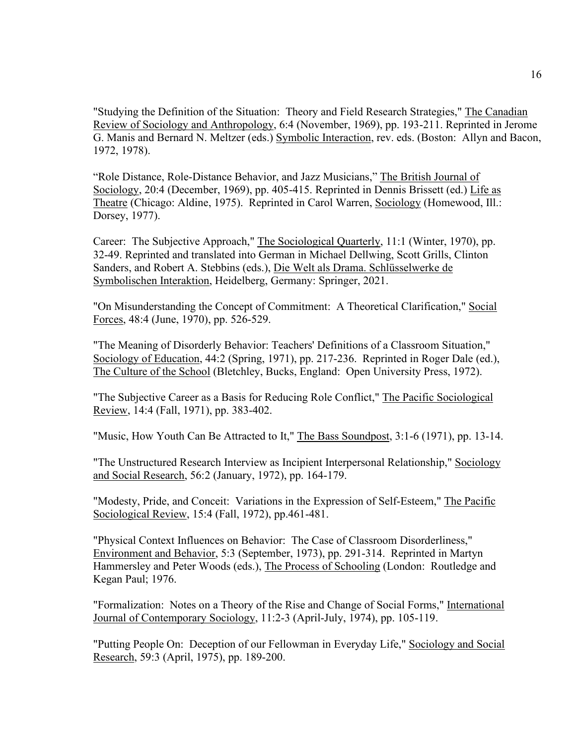"Studying the Definition of the Situation: Theory and Field Research Strategies," The Canadian Review of Sociology and Anthropology, 6:4 (November, 1969), pp. 193-211. Reprinted in Jerome G. Manis and Bernard N. Meltzer (eds.) Symbolic Interaction, rev. eds. (Boston: Allyn and Bacon, 1972, 1978).

"Role Distance, Role-Distance Behavior, and Jazz Musicians," The British Journal of Sociology, 20:4 (December, 1969), pp. 405-415. Reprinted in Dennis Brissett (ed.) Life as Theatre (Chicago: Aldine, 1975). Reprinted in Carol Warren, Sociology (Homewood, Ill.: Dorsey, 1977).

Career: The Subjective Approach," The Sociological Quarterly, 11:1 (Winter, 1970), pp. 32-49. Reprinted and translated into German in Michael Dellwing, Scott Grills, Clinton Sanders, and Robert A. Stebbins (eds.), Die Welt als Drama. Schlüsselwerke de Symbolischen Interaktion, Heidelberg, Germany: Springer, 2021.

"On Misunderstanding the Concept of Commitment: A Theoretical Clarification," Social Forces, 48:4 (June, 1970), pp. 526-529.

"The Meaning of Disorderly Behavior: Teachers' Definitions of a Classroom Situation," Sociology of Education, 44:2 (Spring, 1971), pp. 217-236. Reprinted in Roger Dale (ed.), The Culture of the School (Bletchley, Bucks, England: Open University Press, 1972).

"The Subjective Career as a Basis for Reducing Role Conflict," The Pacific Sociological Review, 14:4 (Fall, 1971), pp. 383-402.

"Music, How Youth Can Be Attracted to It," The Bass Soundpost, 3:1-6 (1971), pp. 13-14.

"The Unstructured Research Interview as Incipient Interpersonal Relationship," Sociology and Social Research, 56:2 (January, 1972), pp. 164-179.

"Modesty, Pride, and Conceit: Variations in the Expression of Self-Esteem," The Pacific Sociological Review, 15:4 (Fall, 1972), pp.461-481.

"Physical Context Influences on Behavior: The Case of Classroom Disorderliness," Environment and Behavior, 5:3 (September, 1973), pp. 291-314. Reprinted in Martyn Hammersley and Peter Woods (eds.), The Process of Schooling (London: Routledge and Kegan Paul; 1976.

"Formalization: Notes on a Theory of the Rise and Change of Social Forms," International Journal of Contemporary Sociology, 11:2-3 (April-July, 1974), pp. 105-119.

"Putting People On: Deception of our Fellowman in Everyday Life," Sociology and Social Research, 59:3 (April, 1975), pp. 189-200.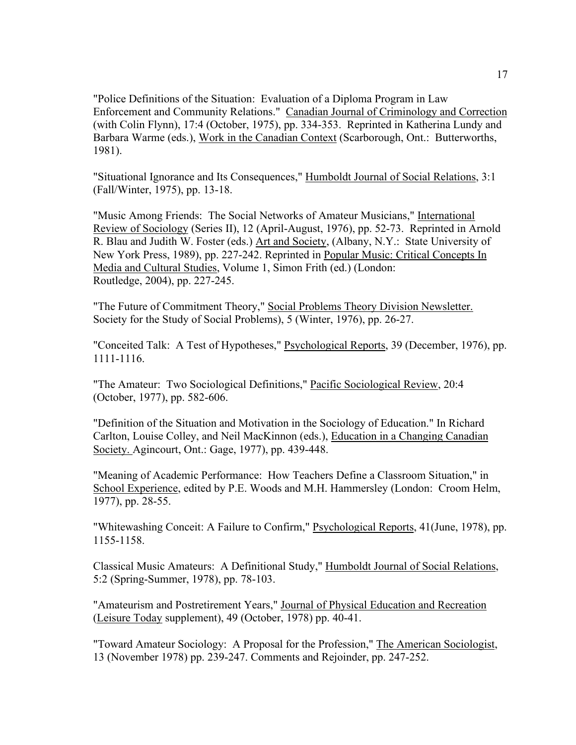"Police Definitions of the Situation: Evaluation of a Diploma Program in Law Enforcement and Community Relations." Canadian Journal of Criminology and Correction (with Colin Flynn), 17:4 (October, 1975), pp. 334-353. Reprinted in Katherina Lundy and Barbara Warme (eds.), Work in the Canadian Context (Scarborough, Ont.: Butterworths, 1981).

"Situational Ignorance and Its Consequences," Humboldt Journal of Social Relations, 3:1 (Fall/Winter, 1975), pp. 13-18.

"Music Among Friends: The Social Networks of Amateur Musicians," International Review of Sociology (Series II), 12 (April-August, 1976), pp. 52-73. Reprinted in Arnold R. Blau and Judith W. Foster (eds.) Art and Society, (Albany, N.Y.: State University of New York Press, 1989), pp. 227-242. Reprinted in Popular Music: Critical Concepts In Media and Cultural Studies, Volume 1, Simon Frith (ed.) (London: Routledge, 2004), pp. 227-245.

"The Future of Commitment Theory," Social Problems Theory Division Newsletter. Society for the Study of Social Problems), 5 (Winter, 1976), pp. 26-27.

"Conceited Talk: A Test of Hypotheses," Psychological Reports, 39 (December, 1976), pp. 1111-1116.

"The Amateur: Two Sociological Definitions," Pacific Sociological Review, 20:4 (October, 1977), pp. 582-606.

"Definition of the Situation and Motivation in the Sociology of Education." In Richard Carlton, Louise Colley, and Neil MacKinnon (eds.), Education in a Changing Canadian Society. Agincourt, Ont.: Gage, 1977), pp. 439-448.

"Meaning of Academic Performance: How Teachers Define a Classroom Situation," in School Experience, edited by P.E. Woods and M.H. Hammersley (London: Croom Helm, 1977), pp. 28-55.

"Whitewashing Conceit: A Failure to Confirm," Psychological Reports, 41(June, 1978), pp. 1155-1158.

Classical Music Amateurs: A Definitional Study," Humboldt Journal of Social Relations, 5:2 (Spring-Summer, 1978), pp. 78-103.

"Amateurism and Postretirement Years," Journal of Physical Education and Recreation (Leisure Today supplement), 49 (October, 1978) pp. 40-41.

"Toward Amateur Sociology: A Proposal for the Profession," The American Sociologist, 13 (November 1978) pp. 239-247. Comments and Rejoinder, pp. 247-252.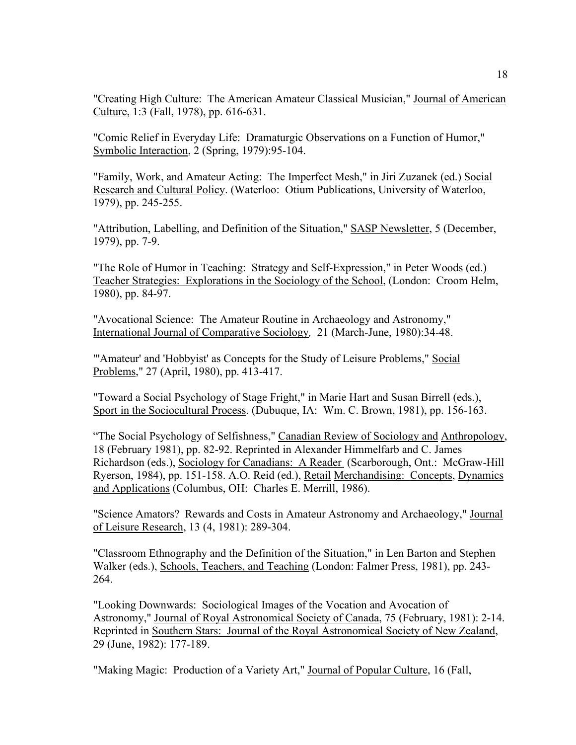"Creating High Culture: The American Amateur Classical Musician," Journal of American Culture, 1:3 (Fall, 1978), pp. 616-631.

"Comic Relief in Everyday Life: Dramaturgic Observations on a Function of Humor," Symbolic Interaction, 2 (Spring, 1979):95-104.

"Family, Work, and Amateur Acting: The Imperfect Mesh," in Jiri Zuzanek (ed.) Social Research and Cultural Policy. (Waterloo: Otium Publications, University of Waterloo, 1979), pp. 245-255.

"Attribution, Labelling, and Definition of the Situation," SASP Newsletter, 5 (December, 1979), pp. 7-9.

"The Role of Humor in Teaching: Strategy and Self-Expression," in Peter Woods (ed.) Teacher Strategies: Explorations in the Sociology of the School, (London: Croom Helm, 1980), pp. 84-97.

"Avocational Science: The Amateur Routine in Archaeology and Astronomy," International Journal of Comparative Sociology*,* 21 (March-June, 1980):34-48.

"'Amateur' and 'Hobbyist' as Concepts for the Study of Leisure Problems," Social Problems," 27 (April, 1980), pp. 413-417.

"Toward a Social Psychology of Stage Fright," in Marie Hart and Susan Birrell (eds.), Sport in the Sociocultural Process. (Dubuque, IA: Wm. C. Brown, 1981), pp. 156-163.

"The Social Psychology of Selfishness," Canadian Review of Sociology and Anthropology, 18 (February 1981), pp. 82-92. Reprinted in Alexander Himmelfarb and C. James Richardson (eds.), Sociology for Canadians: A Reader (Scarborough, Ont.: McGraw-Hill Ryerson, 1984), pp. 151-158. A.O. Reid (ed.), Retail Merchandising: Concepts, Dynamics and Applications (Columbus, OH: Charles E. Merrill, 1986).

"Science Amators? Rewards and Costs in Amateur Astronomy and Archaeology," Journal of Leisure Research, 13 (4, 1981): 289-304.

"Classroom Ethnography and the Definition of the Situation," in Len Barton and Stephen Walker (eds.), Schools, Teachers, and Teaching (London: Falmer Press, 1981), pp. 243- 264.

"Looking Downwards: Sociological Images of the Vocation and Avocation of Astronomy," Journal of Royal Astronomical Society of Canada, 75 (February, 1981): 2-14. Reprinted in Southern Stars: Journal of the Royal Astronomical Society of New Zealand, 29 (June, 1982): 177-189.

"Making Magic: Production of a Variety Art," Journal of Popular Culture, 16 (Fall,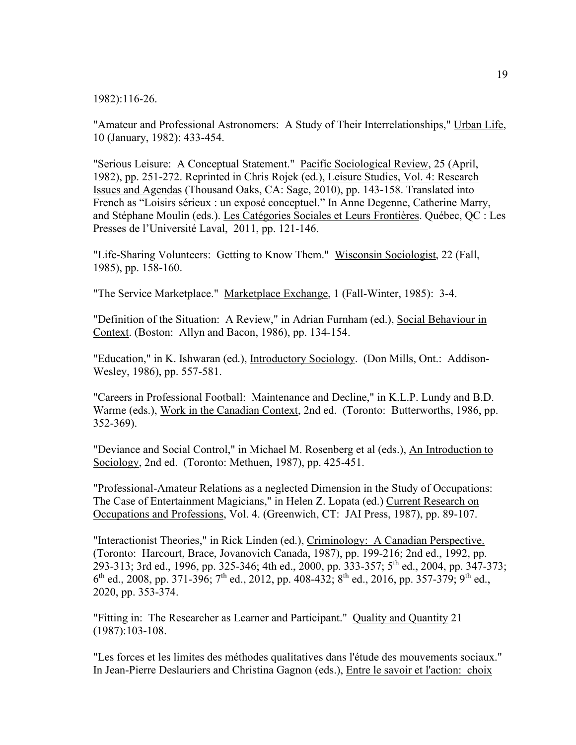1982):116-26.

"Amateur and Professional Astronomers: A Study of Their Interrelationships," Urban Life, 10 (January, 1982): 433-454.

"Serious Leisure: A Conceptual Statement." Pacific Sociological Review, 25 (April, 1982), pp. 251-272. Reprinted in Chris Rojek (ed.), Leisure Studies, Vol. 4: Research Issues and Agendas (Thousand Oaks, CA: Sage, 2010), pp. 143-158. Translated into French as "Loisirs sérieux : un exposé conceptuel." In Anne Degenne, Catherine Marry, and Stéphane Moulin (eds.). Les Catégories Sociales et Leurs Frontières. Québec, QC : Les Presses de l'Université Laval, 2011, pp. 121-146.

"Life-Sharing Volunteers: Getting to Know Them." Wisconsin Sociologist, 22 (Fall, 1985), pp. 158-160.

"The Service Marketplace." Marketplace Exchange, 1 (Fall-Winter, 1985): 3-4.

"Definition of the Situation: A Review," in Adrian Furnham (ed.), Social Behaviour in Context. (Boston: Allyn and Bacon, 1986), pp. 134-154.

"Education," in K. Ishwaran (ed.), Introductory Sociology. (Don Mills, Ont.: Addison-Wesley, 1986), pp. 557-581.

"Careers in Professional Football: Maintenance and Decline," in K.L.P. Lundy and B.D. Warme (eds.), Work in the Canadian Context, 2nd ed. (Toronto: Butterworths, 1986, pp. 352-369).

"Deviance and Social Control," in Michael M. Rosenberg et al (eds.), An Introduction to Sociology, 2nd ed. (Toronto: Methuen, 1987), pp. 425-451.

"Professional-Amateur Relations as a neglected Dimension in the Study of Occupations: The Case of Entertainment Magicians," in Helen Z. Lopata (ed.) Current Research on Occupations and Professions, Vol. 4. (Greenwich, CT: JAI Press, 1987), pp. 89-107.

"Interactionist Theories," in Rick Linden (ed.), Criminology: A Canadian Perspective. (Toronto: Harcourt, Brace, Jovanovich Canada, 1987), pp. 199-216; 2nd ed., 1992, pp. 293-313; 3rd ed., 1996, pp. 325-346; 4th ed., 2000, pp. 333-357; 5th ed., 2004, pp. 347-373;  $6^{th}$  ed., 2008, pp. 371-396; 7<sup>th</sup> ed., 2012, pp. 408-432; 8<sup>th</sup> ed., 2016, pp. 357-379; 9<sup>th</sup> ed., 2020, pp. 353-374.

"Fitting in: The Researcher as Learner and Participant." Quality and Quantity 21 (1987):103-108.

"Les forces et les limites des méthodes qualitatives dans l'étude des mouvements sociaux." In Jean-Pierre Deslauriers and Christina Gagnon (eds.), Entre le savoir et l'action: choix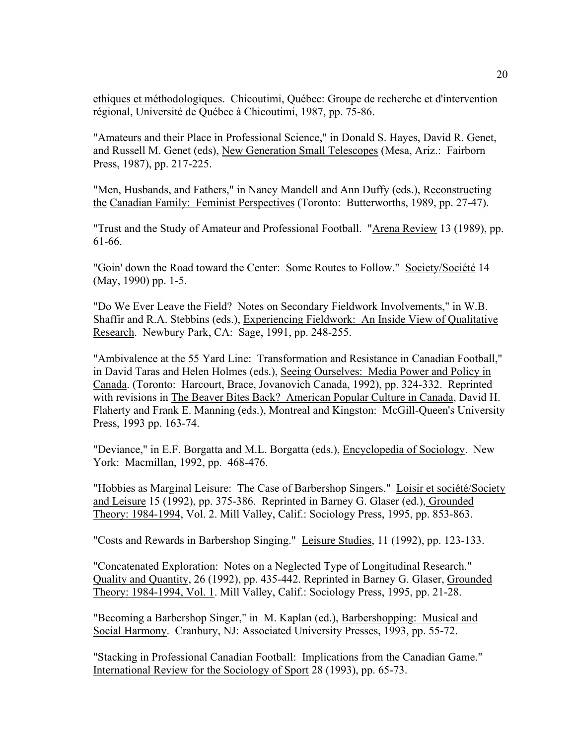ethiques et méthodologiques. Chicoutimi, Québec: Groupe de recherche et d'intervention régional, Université de Québec à Chicoutimi, 1987, pp. 75-86.

"Amateurs and their Place in Professional Science," in Donald S. Hayes, David R. Genet, and Russell M. Genet (eds), New Generation Small Telescopes (Mesa, Ariz.: Fairborn Press, 1987), pp. 217-225.

"Men, Husbands, and Fathers," in Nancy Mandell and Ann Duffy (eds.), Reconstructing the Canadian Family: Feminist Perspectives (Toronto: Butterworths, 1989, pp. 27-47).

"Trust and the Study of Amateur and Professional Football. "Arena Review 13 (1989), pp. 61-66.

"Goin' down the Road toward the Center: Some Routes to Follow." Society/Société 14 (May, 1990) pp. 1-5.

"Do We Ever Leave the Field? Notes on Secondary Fieldwork Involvements," in W.B. Shaffir and R.A. Stebbins (eds.), Experiencing Fieldwork: An Inside View of Qualitative Research. Newbury Park, CA: Sage, 1991, pp. 248-255.

"Ambivalence at the 55 Yard Line: Transformation and Resistance in Canadian Football," in David Taras and Helen Holmes (eds.), Seeing Ourselves: Media Power and Policy in Canada. (Toronto: Harcourt, Brace, Jovanovich Canada, 1992), pp. 324-332. Reprinted with revisions in The Beaver Bites Back? American Popular Culture in Canada, David H. Flaherty and Frank E. Manning (eds.), Montreal and Kingston: McGill-Queen's University Press, 1993 pp. 163-74.

"Deviance," in E.F. Borgatta and M.L. Borgatta (eds.), **Encyclopedia of Sociology**. New York: Macmillan, 1992, pp. 468-476.

"Hobbies as Marginal Leisure: The Case of Barbershop Singers." Loisir et société/Society and Leisure 15 (1992), pp. 375-386. Reprinted in Barney G. Glaser (ed.), Grounded Theory: 1984-1994, Vol. 2. Mill Valley, Calif.: Sociology Press, 1995, pp. 853-863.

"Costs and Rewards in Barbershop Singing." Leisure Studies, 11 (1992), pp. 123-133.

"Concatenated Exploration: Notes on a Neglected Type of Longitudinal Research." Quality and Quantity, 26 (1992), pp. 435-442. Reprinted in Barney G. Glaser, Grounded Theory: 1984-1994, Vol. 1. Mill Valley, Calif.: Sociology Press, 1995, pp. 21-28.

"Becoming a Barbershop Singer," in M. Kaplan (ed.), Barbershopping: Musical and Social Harmony. Cranbury, NJ: Associated University Presses, 1993, pp. 55-72.

"Stacking in Professional Canadian Football: Implications from the Canadian Game." International Review for the Sociology of Sport 28 (1993), pp. 65-73.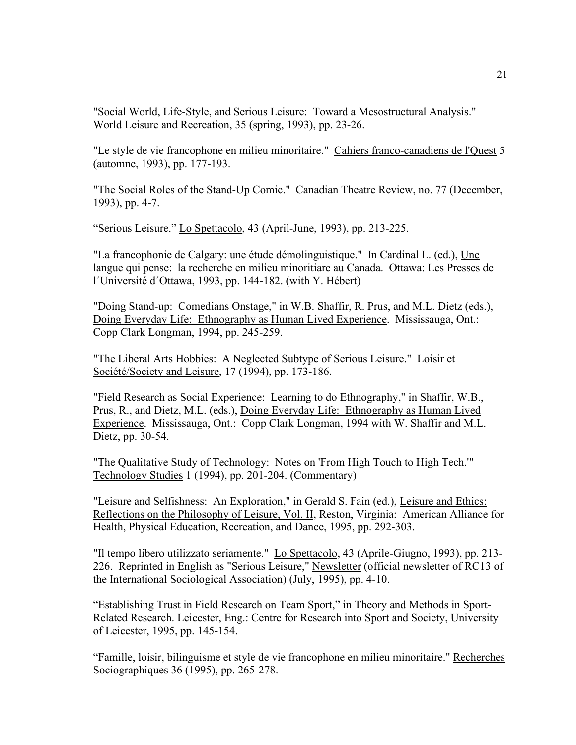"Social World, Life-Style, and Serious Leisure: Toward a Mesostructural Analysis." World Leisure and Recreation, 35 (spring, 1993), pp. 23-26.

"Le style de vie francophone en milieu minoritaire." Cahiers franco-canadiens de l'Quest 5 (automne, 1993), pp. 177-193.

"The Social Roles of the Stand-Up Comic." Canadian Theatre Review, no. 77 (December, 1993), pp. 4-7.

"Serious Leisure." Lo Spettacolo, 43 (April-June, 1993), pp. 213-225.

"La francophonie de Calgary: une étude démolinguistique." In Cardinal L. (ed.), Une langue qui pense: la recherche en milieu minoritiare au Canada. Ottawa: Les Presses de l´Université d´Ottawa, 1993, pp. 144-182. (with Y. Hébert)

"Doing Stand-up: Comedians Onstage," in W.B. Shaffir, R. Prus, and M.L. Dietz (eds.), Doing Everyday Life: Ethnography as Human Lived Experience. Mississauga, Ont.: Copp Clark Longman, 1994, pp. 245-259.

"The Liberal Arts Hobbies: A Neglected Subtype of Serious Leisure." Loisir et Société/Society and Leisure, 17 (1994), pp. 173-186.

"Field Research as Social Experience: Learning to do Ethnography," in Shaffir, W.B., Prus, R., and Dietz, M.L. (eds.), Doing Everyday Life: Ethnography as Human Lived Experience. Mississauga, Ont.: Copp Clark Longman, 1994 with W. Shaffir and M.L. Dietz, pp. 30-54.

"The Qualitative Study of Technology: Notes on 'From High Touch to High Tech.'" Technology Studies 1 (1994), pp. 201-204. (Commentary)

"Leisure and Selfishness: An Exploration," in Gerald S. Fain (ed.), Leisure and Ethics: Reflections on the Philosophy of Leisure, Vol. II, Reston, Virginia: American Alliance for Health, Physical Education, Recreation, and Dance, 1995, pp. 292-303.

"Il tempo libero utilizzato seriamente." Lo Spettacolo, 43 (Aprile-Giugno, 1993), pp. 213- 226. Reprinted in English as "Serious Leisure," Newsletter (official newsletter of RC13 of the International Sociological Association) (July, 1995), pp. 4-10.

"Establishing Trust in Field Research on Team Sport," in Theory and Methods in Sport-Related Research. Leicester, Eng.: Centre for Research into Sport and Society, University of Leicester, 1995, pp. 145-154.

"Famille, loisir, bilinguisme et style de vie francophone en milieu minoritaire." Recherches Sociographiques 36 (1995), pp. 265-278.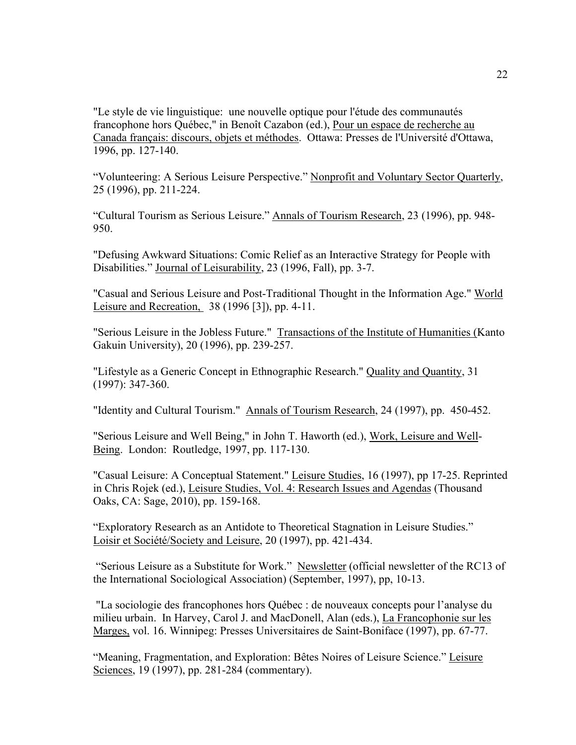"Le style de vie linguistique: une nouvelle optique pour l'étude des communautés francophone hors Québec," in Benoît Cazabon (ed.), Pour un espace de recherche au Canada français: discours, objets et méthodes. Ottawa: Presses de l'Université d'Ottawa, 1996, pp. 127-140.

"Volunteering: A Serious Leisure Perspective." Nonprofit and Voluntary Sector Quarterly, 25 (1996), pp. 211-224.

"Cultural Tourism as Serious Leisure." Annals of Tourism Research, 23 (1996), pp. 948- 950.

"Defusing Awkward Situations: Comic Relief as an Interactive Strategy for People with Disabilities." Journal of Leisurability, 23 (1996, Fall), pp. 3-7.

"Casual and Serious Leisure and Post-Traditional Thought in the Information Age." World Leisure and Recreation, 38 (1996 [3]), pp. 4-11.

"Serious Leisure in the Jobless Future." Transactions of the Institute of Humanities (Kanto Gakuin University), 20 (1996), pp. 239-257.

"Lifestyle as a Generic Concept in Ethnographic Research." Quality and Quantity, 31 (1997): 347-360.

"Identity and Cultural Tourism." Annals of Tourism Research, 24 (1997), pp. 450-452.

"Serious Leisure and Well Being," in John T. Haworth (ed.), Work, Leisure and Well-Being. London: Routledge, 1997, pp. 117-130.

"Casual Leisure: A Conceptual Statement." Leisure Studies, 16 (1997), pp 17-25. Reprinted in Chris Rojek (ed.), Leisure Studies, Vol. 4: Research Issues and Agendas (Thousand Oaks, CA: Sage, 2010), pp. 159-168.

"Exploratory Research as an Antidote to Theoretical Stagnation in Leisure Studies." Loisir et Société/Society and Leisure, 20 (1997), pp. 421-434.

"Serious Leisure as a Substitute for Work." Newsletter (official newsletter of the RC13 of the International Sociological Association) (September, 1997), pp, 10-13.

"La sociologie des francophones hors Québec : de nouveaux concepts pour l'analyse du milieu urbain. In Harvey, Carol J. and MacDonell, Alan (eds.), La Francophonie sur les Marges, vol. 16. Winnipeg: Presses Universitaires de Saint-Boniface (1997), pp. 67-77.

"Meaning, Fragmentation, and Exploration: Bêtes Noires of Leisure Science." Leisure Sciences, 19 (1997), pp. 281-284 (commentary).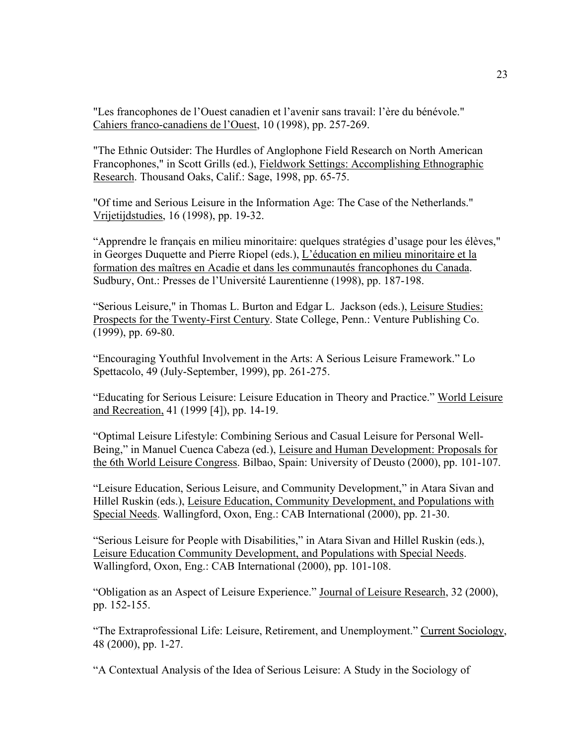"Les francophones de l'Ouest canadien et l'avenir sans travail: l'ère du bénévole." Cahiers franco-canadiens de l'Ouest, 10 (1998), pp. 257-269.

"The Ethnic Outsider: The Hurdles of Anglophone Field Research on North American Francophones," in Scott Grills (ed.), Fieldwork Settings: Accomplishing Ethnographic Research. Thousand Oaks, Calif.: Sage, 1998, pp. 65-75.

"Of time and Serious Leisure in the Information Age: The Case of the Netherlands." Vrijetijdstudies, 16 (1998), pp. 19-32.

"Apprendre le français en milieu minoritaire: quelques stratégies d'usage pour les élèves," in Georges Duquette and Pierre Riopel (eds.), L'éducation en milieu minoritaire et la formation des maîtres en Acadie et dans les communautés francophones du Canada. Sudbury, Ont.: Presses de l'Université Laurentienne (1998), pp. 187-198.

"Serious Leisure," in Thomas L. Burton and Edgar L. Jackson (eds.), Leisure Studies: Prospects for the Twenty-First Century. State College, Penn.: Venture Publishing Co. (1999), pp. 69-80.

"Encouraging Youthful Involvement in the Arts: A Serious Leisure Framework." Lo Spettacolo, 49 (July-September, 1999), pp. 261-275.

"Educating for Serious Leisure: Leisure Education in Theory and Practice." World Leisure and Recreation, 41 (1999 [4]), pp. 14-19.

"Optimal Leisure Lifestyle: Combining Serious and Casual Leisure for Personal Well-Being," in Manuel Cuenca Cabeza (ed.), Leisure and Human Development: Proposals for the 6th World Leisure Congress. Bilbao, Spain: University of Deusto (2000), pp. 101-107.

"Leisure Education, Serious Leisure, and Community Development," in Atara Sivan and Hillel Ruskin (eds.), Leisure Education, Community Development, and Populations with Special Needs. Wallingford, Oxon, Eng.: CAB International (2000), pp. 21-30.

"Serious Leisure for People with Disabilities," in Atara Sivan and Hillel Ruskin (eds.), Leisure Education Community Development, and Populations with Special Needs. Wallingford, Oxon, Eng.: CAB International (2000), pp. 101-108.

"Obligation as an Aspect of Leisure Experience." Journal of Leisure Research, 32 (2000), pp. 152-155.

"The Extraprofessional Life: Leisure, Retirement, and Unemployment." Current Sociology, 48 (2000), pp. 1-27.

"A Contextual Analysis of the Idea of Serious Leisure: A Study in the Sociology of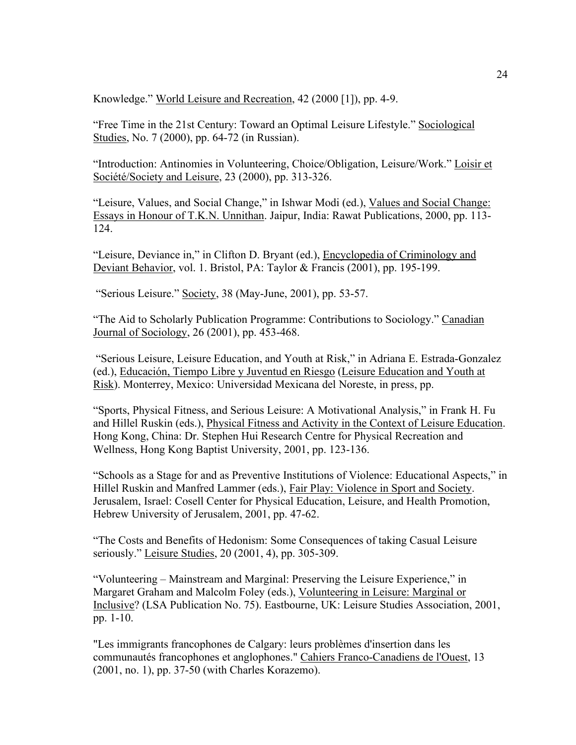Knowledge." World Leisure and Recreation, 42 (2000 [1]), pp. 4-9.

"Free Time in the 21st Century: Toward an Optimal Leisure Lifestyle." Sociological Studies, No. 7 (2000), pp. 64-72 (in Russian).

"Introduction: Antinomies in Volunteering, Choice/Obligation, Leisure/Work." Loisir et Société/Society and Leisure, 23 (2000), pp. 313-326.

"Leisure, Values, and Social Change," in Ishwar Modi (ed.), Values and Social Change: Essays in Honour of T.K.N. Unnithan. Jaipur, India: Rawat Publications, 2000, pp. 113- 124.

"Leisure, Deviance in," in Clifton D. Bryant (ed.), Encyclopedia of Criminology and Deviant Behavior, vol. 1. Bristol, PA: Taylor & Francis (2001), pp. 195-199.

"Serious Leisure." Society, 38 (May-June, 2001), pp. 53-57.

"The Aid to Scholarly Publication Programme: Contributions to Sociology." Canadian Journal of Sociology, 26 (2001), pp. 453-468.

"Serious Leisure, Leisure Education, and Youth at Risk," in Adriana E. Estrada-Gonzalez (ed.), Educación, Tiempo Libre y Juventud en Riesgo (Leisure Education and Youth at Risk). Monterrey, Mexico: Universidad Mexicana del Noreste, in press, pp.

"Sports, Physical Fitness, and Serious Leisure: A Motivational Analysis," in Frank H. Fu and Hillel Ruskin (eds.), Physical Fitness and Activity in the Context of Leisure Education. Hong Kong, China: Dr. Stephen Hui Research Centre for Physical Recreation and Wellness, Hong Kong Baptist University, 2001, pp. 123-136.

"Schools as a Stage for and as Preventive Institutions of Violence: Educational Aspects," in Hillel Ruskin and Manfred Lammer (eds.), Fair Play: Violence in Sport and Society. Jerusalem, Israel: Cosell Center for Physical Education, Leisure, and Health Promotion, Hebrew University of Jerusalem, 2001, pp. 47-62.

"The Costs and Benefits of Hedonism: Some Consequences of taking Casual Leisure seriously." Leisure Studies, 20 (2001, 4), pp. 305-309.

"Volunteering – Mainstream and Marginal: Preserving the Leisure Experience," in Margaret Graham and Malcolm Foley (eds.), Volunteering in Leisure: Marginal or Inclusive? (LSA Publication No. 75). Eastbourne, UK: Leisure Studies Association, 2001, pp. 1-10.

"Les immigrants francophones de Calgary: leurs problèmes d'insertion dans les communautés francophones et anglophones." Cahiers Franco-Canadiens de l'Ouest, 13 (2001, no. 1), pp. 37-50 (with Charles Korazemo).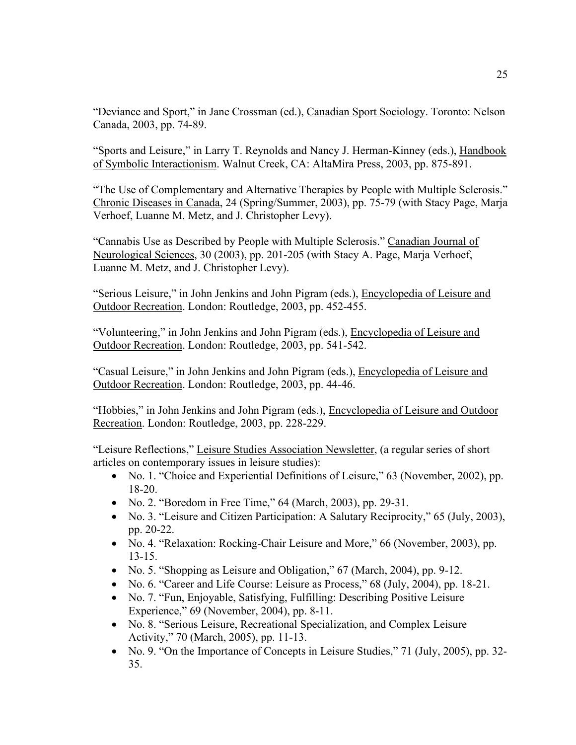"Deviance and Sport," in Jane Crossman (ed.), Canadian Sport Sociology. Toronto: Nelson Canada, 2003, pp. 74-89.

"Sports and Leisure," in Larry T. Reynolds and Nancy J. Herman-Kinney (eds.), Handbook of Symbolic Interactionism. Walnut Creek, CA: AltaMira Press, 2003, pp. 875-891.

"The Use of Complementary and Alternative Therapies by People with Multiple Sclerosis." Chronic Diseases in Canada, 24 (Spring/Summer, 2003), pp. 75-79 (with Stacy Page, Marja Verhoef, Luanne M. Metz, and J. Christopher Levy).

"Cannabis Use as Described by People with Multiple Sclerosis." Canadian Journal of Neurological Sciences, 30 (2003), pp. 201-205 (with Stacy A. Page, Marja Verhoef, Luanne M. Metz, and J. Christopher Levy).

"Serious Leisure," in John Jenkins and John Pigram (eds.), Encyclopedia of Leisure and Outdoor Recreation. London: Routledge, 2003, pp. 452-455.

"Volunteering," in John Jenkins and John Pigram (eds.), Encyclopedia of Leisure and Outdoor Recreation. London: Routledge, 2003, pp. 541-542.

"Casual Leisure," in John Jenkins and John Pigram (eds.), Encyclopedia of Leisure and Outdoor Recreation. London: Routledge, 2003, pp. 44-46.

"Hobbies," in John Jenkins and John Pigram (eds.), Encyclopedia of Leisure and Outdoor Recreation. London: Routledge, 2003, pp. 228-229.

"Leisure Reflections," Leisure Studies Association Newsletter, (a regular series of short articles on contemporary issues in leisure studies):

- No. 1. "Choice and Experiential Definitions of Leisure," 63 (November, 2002), pp. 18-20.
- No. 2. "Boredom in Free Time," 64 (March, 2003), pp. 29-31.
- No. 3. "Leisure and Citizen Participation: A Salutary Reciprocity," 65 (July, 2003), pp. 20-22.
- No. 4. "Relaxation: Rocking-Chair Leisure and More," 66 (November, 2003), pp. 13-15.
- No. 5. "Shopping as Leisure and Obligation," 67 (March, 2004), pp. 9-12.
- No. 6. "Career and Life Course: Leisure as Process," 68 (July, 2004), pp. 18-21.
- No. 7. "Fun, Enjoyable, Satisfying, Fulfilling: Describing Positive Leisure Experience," 69 (November, 2004), pp. 8-11.
- No. 8. "Serious Leisure, Recreational Specialization, and Complex Leisure Activity," 70 (March, 2005), pp. 11-13.
- No. 9. "On the Importance of Concepts in Leisure Studies," 71 (July, 2005), pp. 32-35.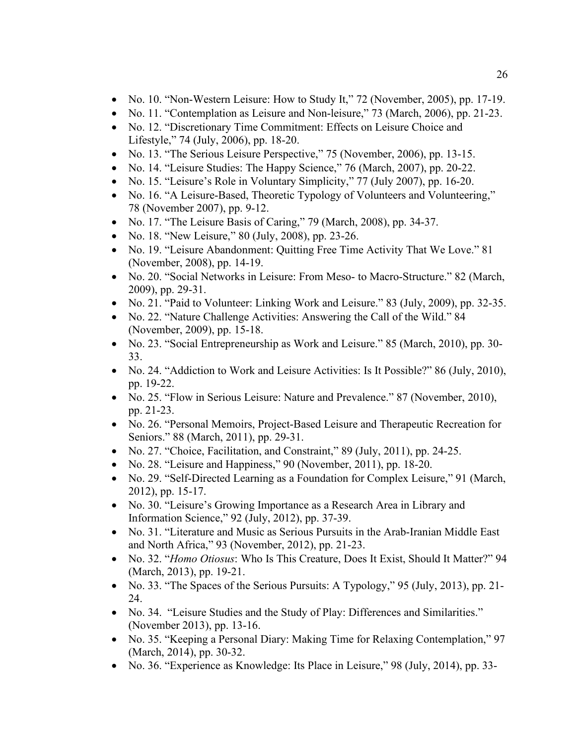- No. 10. "Non-Western Leisure: How to Study It," 72 (November, 2005), pp. 17-19.
- No. 11. "Contemplation as Leisure and Non-leisure," 73 (March, 2006), pp. 21-23.
- No. 12. "Discretionary Time Commitment: Effects on Leisure Choice and Lifestyle," 74 (July, 2006), pp. 18-20.
- No. 13. "The Serious Leisure Perspective," 75 (November, 2006), pp. 13-15.
- No. 14. "Leisure Studies: The Happy Science," 76 (March, 2007), pp. 20-22.
- No. 15. "Leisure's Role in Voluntary Simplicity," 77 (July 2007), pp. 16-20.
- No. 16. "A Leisure-Based, Theoretic Typology of Volunteers and Volunteering," 78 (November 2007), pp. 9-12.
- No. 17. "The Leisure Basis of Caring," 79 (March, 2008), pp. 34-37.
- No. 18. "New Leisure," 80 (July, 2008), pp. 23-26.
- No. 19. "Leisure Abandonment: Quitting Free Time Activity That We Love." 81 (November, 2008), pp. 14-19.
- No. 20. "Social Networks in Leisure: From Meso- to Macro-Structure." 82 (March, 2009), pp. 29-31.
- No. 21. "Paid to Volunteer: Linking Work and Leisure." 83 (July, 2009), pp. 32-35.
- No. 22. "Nature Challenge Activities: Answering the Call of the Wild." 84 (November, 2009), pp. 15-18.
- No. 23. "Social Entrepreneurship as Work and Leisure." 85 (March, 2010), pp. 30-33.
- No. 24. "Addiction to Work and Leisure Activities: Is It Possible?" 86 (July, 2010), pp. 19-22.
- No. 25. "Flow in Serious Leisure: Nature and Prevalence." 87 (November, 2010), pp. 21-23.
- No. 26. "Personal Memoirs, Project-Based Leisure and Therapeutic Recreation for Seniors." 88 (March, 2011), pp. 29-31.
- No. 27. "Choice, Facilitation, and Constraint," 89 (July, 2011), pp. 24-25.
- No. 28. "Leisure and Happiness," 90 (November, 2011), pp. 18-20.
- No. 29. "Self-Directed Learning as a Foundation for Complex Leisure," 91 (March, 2012), pp. 15-17.
- No. 30. "Leisure's Growing Importance as a Research Area in Library and Information Science," 92 (July, 2012), pp. 37-39.
- No. 31. "Literature and Music as Serious Pursuits in the Arab-Iranian Middle East and North Africa," 93 (November, 2012), pp. 21-23.
- No. 32. "*Homo Otiosus*: Who Is This Creature, Does It Exist, Should It Matter?" 94 (March, 2013), pp. 19-21.
- No. 33. "The Spaces of the Serious Pursuits: A Typology," 95 (July, 2013), pp. 21-24.
- No. 34. "Leisure Studies and the Study of Play: Differences and Similarities." (November 2013), pp. 13-16.
- No. 35. "Keeping a Personal Diary: Making Time for Relaxing Contemplation," 97 (March, 2014), pp. 30-32.
- No. 36. "Experience as Knowledge: Its Place in Leisure," 98 (July, 2014), pp. 33-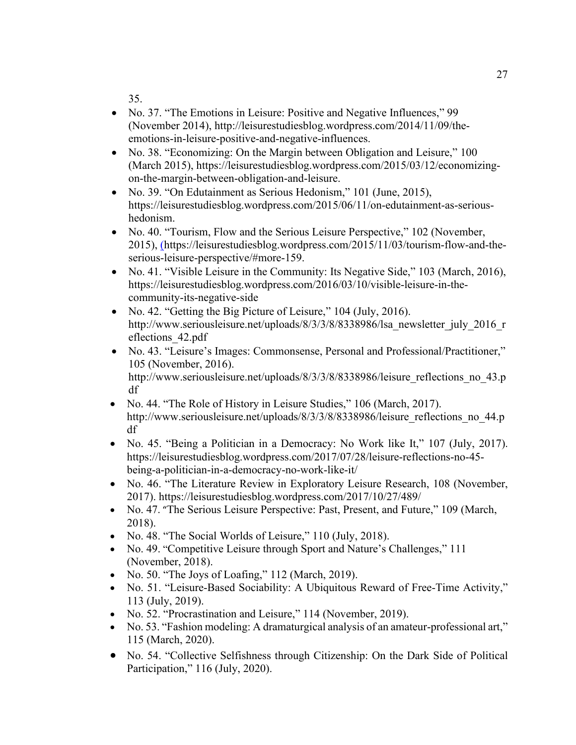35.

- No. 37. "The Emotions in Leisure: Positive and Negative Influences," 99 (November 2014), [http://leisurestudiesblog.wordpress.com/2014/11/09/the](http://leisurestudiesblog.wordpress.com/2014/11/09/the-emotions-in-leisure-positive-and-negative-influences/)[emotions-in-leisure-positive-and-negative-influences.](http://leisurestudiesblog.wordpress.com/2014/11/09/the-emotions-in-leisure-positive-and-negative-influences/)
- No. 38. "Economizing: On the Margin between Obligation and Leisure," 100 (March 2015), https://leisurestudiesblog.wordpress.com/2015/03/12/economizingon-the-margin-between-obligation-and-leisure.
- No. 39. "On Edutainment as Serious Hedonism," 101 (June, 2015), https://leisurestudiesblog.wordpress.com/2015/06/11/on-edutainment-as-serioushedonism.
- No. 40. "Tourism, Flow and the Serious Leisure Perspective," 102 (November, 2015), ([https://leisurestudiesblog.wordpress.com/2015/11/03/tourism-flow-and-the](https://leisurestudiesblog.wordpress.com/2015/11/03/tourism-flow-and-the-serious-leisure-perspective/#more-159)[serious-leisure-perspective/#more-159.](https://leisurestudiesblog.wordpress.com/2015/11/03/tourism-flow-and-the-serious-leisure-perspective/#more-159)
- No. 41. "Visible Leisure in the Community: Its Negative Side," 103 (March, 2016), https://leisurestudiesblog.wordpress.com/2016/03/10/visible-leisure-in-thecommunity-its-negative-side
- No. 42. "Getting the Big Picture of Leisure," 104 (July, 2016). http://www.seriousleisure.net/uploads/8/3/3/8/8338986/lsa\_newsletter\_july\_2016\_r eflections\_42.pdf
- No. 43. "Leisure's Images: Commonsense, Personal and Professional/Practitioner," 105 (November, 2016). http://www.seriousleisure.net/uploads/8/3/3/8/8338986/leisure\_reflections\_no\_43.p df
- No. 44. "The Role of History in Leisure Studies," 106 (March, 2017). http://www.seriousleisure.net/uploads/8/3/3/8/8338986/leisure\_reflections\_no\_44.p df
- No. 45. "Being a Politician in a Democracy: No Work like It," 107 (July, 2017). https://leisurestudiesblog.wordpress.com/2017/07/28/leisure-reflections-no-45 being-a-politician-in-a-democracy-no-work-like-it/
- No. 46. "The Literature Review in Exploratory Leisure Research, 108 (November, 2017). https://leisurestudiesblog.wordpress.com/2017/10/27/489/
- No. 47. "The Serious Leisure Perspective: Past, Present, and Future," 109 (March, 2018).
- No. 48. "The Social Worlds of Leisure," 110 (July, 2018).
- No. 49. "Competitive Leisure through Sport and Nature's Challenges," 111 (November, 2018).
- No. 50. "The Joys of Loafing," 112 (March, 2019).
- No. 51. "Leisure-Based Sociability: A Ubiquitous Reward of Free-Time Activity," 113 (July, 2019).
- No. 52. "Procrastination and Leisure," 114 (November, 2019).
- No. 53. "Fashion modeling: A dramaturgical analysis of an amateur-professional art," 115 (March, 2020).
- No. 54. "Collective Selfishness through Citizenship: On the Dark Side of Political Participation," 116 (July, 2020).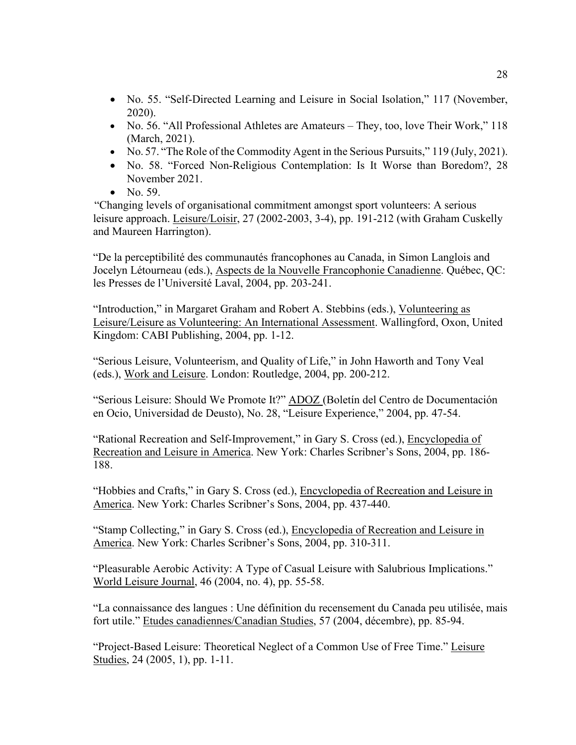- No. 55. "Self-Directed Learning and Leisure in Social Isolation," 117 (November, 2020).
- No. 56. "All Professional Athletes are Amateurs They, too, love Their Work," 118 (March, 2021).
- No. 57. "The Role of the Commodity Agent in the Serious Pursuits," 119 (July, 2021).
- No. 58. "Forced Non-Religious Contemplation: Is It Worse than Boredom?, 28 November 2021.
- No. 59.

"Changing levels of organisational commitment amongst sport volunteers: A serious leisure approach. Leisure/Loisir, 27 (2002-2003, 3-4), pp. 191-212 (with Graham Cuskelly and Maureen Harrington).

"De la perceptibilité des communautés francophones au Canada, in Simon Langlois and Jocelyn Létourneau (eds.), Aspects de la Nouvelle Francophonie Canadienne. Québec, QC: les Presses de l'Université Laval, 2004, pp. 203-241.

"Introduction," in Margaret Graham and Robert A. Stebbins (eds.), Volunteering as Leisure/Leisure as Volunteering: An International Assessment. Wallingford, Oxon, United Kingdom: CABI Publishing, 2004, pp. 1-12.

"Serious Leisure, Volunteerism, and Quality of Life," in John Haworth and Tony Veal (eds.), Work and Leisure. London: Routledge, 2004, pp. 200-212.

"Serious Leisure: Should We Promote It?" ADOZ (Boletín del Centro de Documentación en Ocio, Universidad de Deusto), No. 28, "Leisure Experience," 2004, pp. 47-54.

"Rational Recreation and Self-Improvement," in Gary S. Cross (ed.), Encyclopedia of Recreation and Leisure in America. New York: Charles Scribner's Sons, 2004, pp. 186- 188.

"Hobbies and Crafts," in Gary S. Cross (ed.), Encyclopedia of Recreation and Leisure in America. New York: Charles Scribner's Sons, 2004, pp. 437-440.

"Stamp Collecting," in Gary S. Cross (ed.), Encyclopedia of Recreation and Leisure in America. New York: Charles Scribner's Sons, 2004, pp. 310-311.

"Pleasurable Aerobic Activity: A Type of Casual Leisure with Salubrious Implications." World Leisure Journal, 46 (2004, no. 4), pp. 55-58.

"La connaissance des langues : Une définition du recensement du Canada peu utilisée, mais fort utile." Etudes canadiennes/Canadian Studies, 57 (2004, décembre), pp. 85-94.

"Project-Based Leisure: Theoretical Neglect of a Common Use of Free Time." Leisure Studies, 24 (2005, 1), pp. 1-11.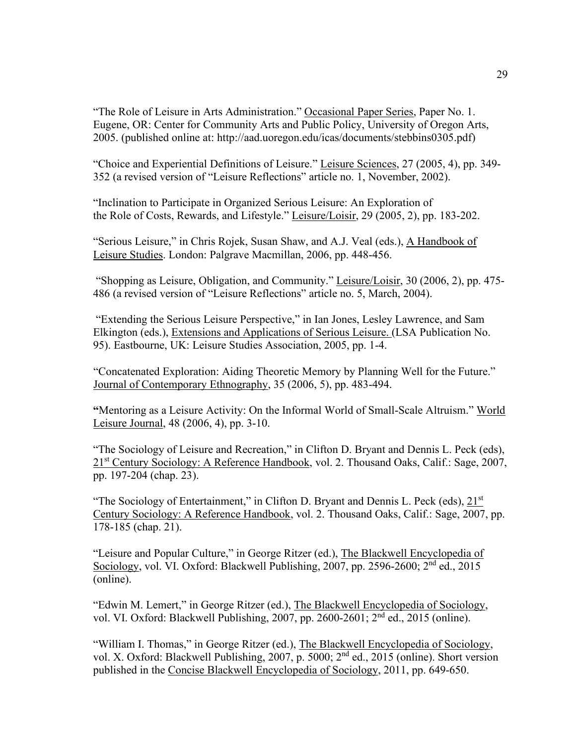"The Role of Leisure in Arts Administration." Occasional Paper Series, Paper No. 1. Eugene, OR: Center for Community Arts and Public Policy, University of Oregon Arts, 2005. (published online at: http://aad.uoregon.edu/icas/documents/stebbins0305.pdf)

"Choice and Experiential Definitions of Leisure." Leisure Sciences, 27 (2005, 4), pp. 349- 352 (a revised version of "Leisure Reflections" article no. 1, November, 2002).

"Inclination to Participate in Organized Serious Leisure: An Exploration of the Role of Costs, Rewards, and Lifestyle." Leisure/Loisir, 29 (2005, 2), pp. 183-202.

"Serious Leisure," in Chris Rojek, Susan Shaw, and A.J. Veal (eds.), A Handbook of Leisure Studies. London: Palgrave Macmillan, 2006, pp. 448-456.

"Shopping as Leisure, Obligation, and Community." Leisure/Loisir, 30 (2006, 2), pp. 475- 486 (a revised version of "Leisure Reflections" article no. 5, March, 2004).

"Extending the Serious Leisure Perspective," in Ian Jones, Lesley Lawrence, and Sam Elkington (eds.), Extensions and Applications of Serious Leisure. (LSA Publication No. 95). Eastbourne, UK: Leisure Studies Association, 2005, pp. 1-4.

"Concatenated Exploration: Aiding Theoretic Memory by Planning Well for the Future." Journal of Contemporary Ethnography, 35 (2006, 5), pp. 483-494.

**"**Mentoring as a Leisure Activity: On the Informal World of Small-Scale Altruism." World Leisure Journal, 48 (2006, 4), pp. 3-10.

"The Sociology of Leisure and Recreation," in Clifton D. Bryant and Dennis L. Peck (eds), 21st Century Sociology: A Reference Handbook, vol. 2. Thousand Oaks, Calif.: Sage, 2007, pp. 197-204 (chap. 23).

"The Sociology of Entertainment," in Clifton D. Bryant and Dennis L. Peck (eds), 21<sup>st</sup> Century Sociology: A Reference Handbook, vol. 2. Thousand Oaks, Calif.: Sage, 2007, pp. 178-185 (chap. 21).

"Leisure and Popular Culture," in George Ritzer (ed.), The Blackwell Encyclopedia of Sociology, vol. VI. Oxford: Blackwell Publishing, 2007, pp. 2596-2600; 2<sup>nd</sup> ed., 2015 (online).

"Edwin M. Lemert," in George Ritzer (ed.), The Blackwell Encyclopedia of Sociology, vol. VI. Oxford: Blackwell Publishing, 2007, pp. 2600-2601; 2nd ed., 2015 (online).

"William I. Thomas," in George Ritzer (ed.), The Blackwell Encyclopedia of Sociology, vol. X. Oxford: Blackwell Publishing, 2007, p. 5000; 2nd ed., 2015 (online). Short version published in the Concise Blackwell Encyclopedia of Sociology, 2011, pp. 649-650.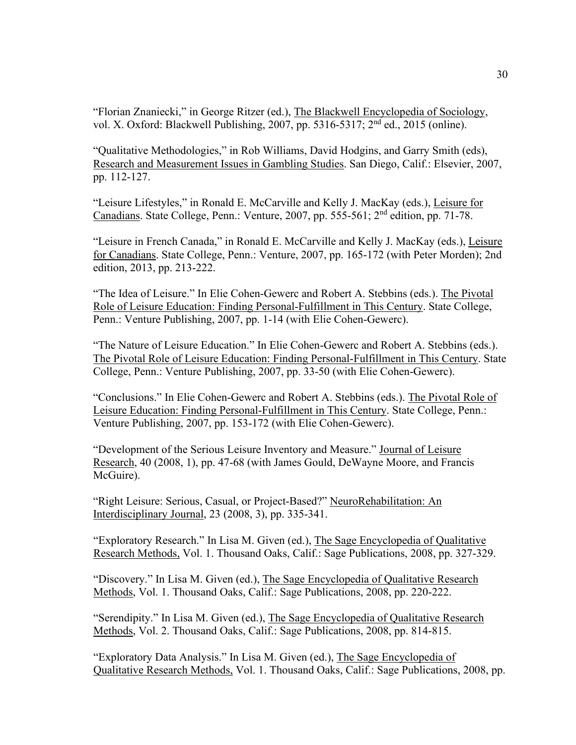"Florian Znaniecki," in George Ritzer (ed.), The Blackwell Encyclopedia of Sociology, vol. X. Oxford: Blackwell Publishing, 2007, pp. 5316-5317; 2nd ed., 2015 (online).

"Qualitative Methodologies," in Rob Williams, David Hodgins, and Garry Smith (eds), Research and Measurement Issues in Gambling Studies. San Diego, Calif.: Elsevier, 2007, pp. 112-127.

"Leisure Lifestyles," in Ronald E. McCarville and Kelly J. MacKay (eds.), Leisure for Canadians. State College, Penn.: Venture, 2007, pp. 555-561; 2nd edition, pp. 71-78.

"Leisure in French Canada," in Ronald E. McCarville and Kelly J. MacKay (eds.), Leisure for Canadians. State College, Penn.: Venture, 2007, pp. 165-172 (with Peter Morden); 2nd edition, 2013, pp. 213-222.

"The Idea of Leisure." In Elie Cohen-Gewerc and Robert A. Stebbins (eds.). The Pivotal Role of Leisure Education: Finding Personal-Fulfillment in This Century. State College, Penn.: Venture Publishing, 2007, pp. 1-14 (with Elie Cohen-Gewerc).

"The Nature of Leisure Education." In Elie Cohen-Gewerc and Robert A. Stebbins (eds.). The Pivotal Role of Leisure Education: Finding Personal-Fulfillment in This Century. State College, Penn.: Venture Publishing, 2007, pp. 33-50 (with Elie Cohen-Gewerc).

"Conclusions." In Elie Cohen-Gewerc and Robert A. Stebbins (eds.). The Pivotal Role of Leisure Education: Finding Personal-Fulfillment in This Century. State College, Penn.: Venture Publishing, 2007, pp. 153-172 (with Elie Cohen-Gewerc).

"Development of the Serious Leisure Inventory and Measure." Journal of Leisure Research, 40 (2008, 1), pp. 47-68 (with James Gould, DeWayne Moore, and Francis McGuire).

"Right Leisure: Serious, Casual, or Project-Based?" NeuroRehabilitation: An Interdisciplinary Journal, 23 (2008, 3), pp. 335-341.

"Exploratory Research." In Lisa M. Given (ed.), The Sage Encyclopedia of Qualitative Research Methods, Vol. 1. Thousand Oaks, Calif.: Sage Publications, 2008, pp. 327-329.

"Discovery." In Lisa M. Given (ed.), The Sage Encyclopedia of Qualitative Research Methods, Vol. 1. Thousand Oaks, Calif.: Sage Publications, 2008, pp. 220-222.

"Serendipity." In Lisa M. Given (ed.), The Sage Encyclopedia of Qualitative Research Methods, Vol. 2. Thousand Oaks, Calif.: Sage Publications, 2008, pp. 814-815.

"Exploratory Data Analysis." In Lisa M. Given (ed.), The Sage Encyclopedia of Qualitative Research Methods, Vol. 1. Thousand Oaks, Calif.: Sage Publications, 2008, pp.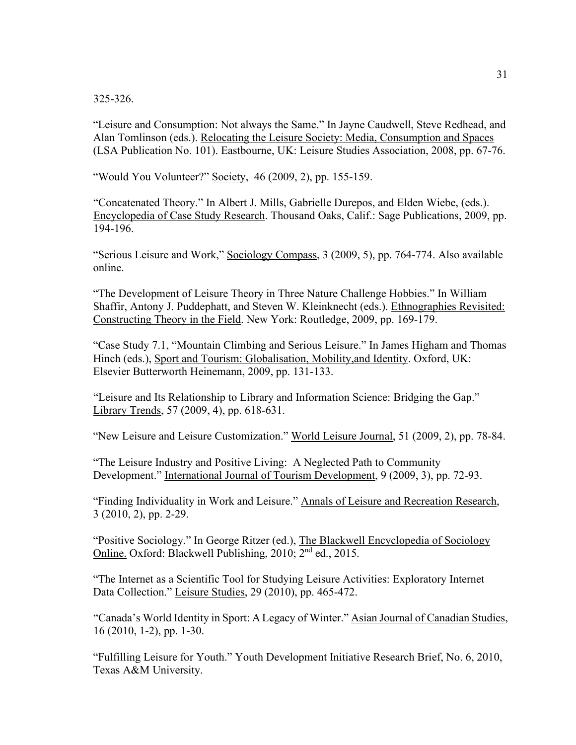325-326.

"Leisure and Consumption: Not always the Same." In Jayne Caudwell, Steve Redhead, and Alan Tomlinson (eds.). Relocating the Leisure Society: Media, Consumption and Spaces (LSA Publication No. 101). Eastbourne, UK: Leisure Studies Association, 2008, pp. 67-76.

"Would You Volunteer?" Society, 46 [\(2009,](http://www.springerlink.com/content/x861215206l2/?p=bfd3b3bcfdd243c19b0b329543d33ac3&pi=0) 2), pp. 155-159.

"Concatenated Theory." In Albert J. Mills, Gabrielle Durepos, and Elden Wiebe, (eds.). Encyclopedia of Case Study Research. Thousand Oaks, Calif.: Sage Publications, 2009, pp. 194-196.

"Serious Leisure and Work," Sociology Compass, 3 (2009, 5), pp. 764-774. Also available online.

"The Development of Leisure Theory in Three Nature Challenge Hobbies." In William Shaffir, Antony J. Puddephatt, and Steven W. Kleinknecht (eds.). Ethnographies Revisited: Constructing Theory in the Field. New York: Routledge, 2009, pp. 169-179.

"Case Study 7.1, "Mountain Climbing and Serious Leisure." In James Higham and Thomas Hinch (eds.), Sport and Tourism: Globalisation, Mobility,and Identity. Oxford, UK: Elsevier Butterworth Heinemann, 2009, pp. 131-133.

"Leisure and Its Relationship to Library and Information Science: Bridging the Gap." Library Trends, 57 (2009, 4), pp. 618-631.

"New Leisure and Leisure Customization." World Leisure Journal, 51 (2009, 2), pp. 78-84.

"The Leisure Industry and Positive Living: A Neglected Path to Community Development." International Journal of Tourism Development, 9 (2009, 3), pp. 72-93.

"Finding Individuality in Work and Leisure." Annals of Leisure and Recreation Research, 3 (2010, 2), pp. 2-29.

"Positive Sociology." In George Ritzer (ed.), The Blackwell Encyclopedia of Sociology Online. Oxford: Blackwell Publishing, 2010; 2nd ed., 2015.

"The Internet as a Scientific Tool for Studying Leisure Activities: Exploratory Internet Data Collection." Leisure Studies, 29 (2010), pp. 465-472.

"Canada's World Identity in Sport: A Legacy of Winter." Asian Journal of Canadian Studies, 16 (2010, 1-2), pp. 1-30.

"Fulfilling Leisure for Youth." Youth Development Initiative Research Brief, No. 6, 2010, Texas A&M University.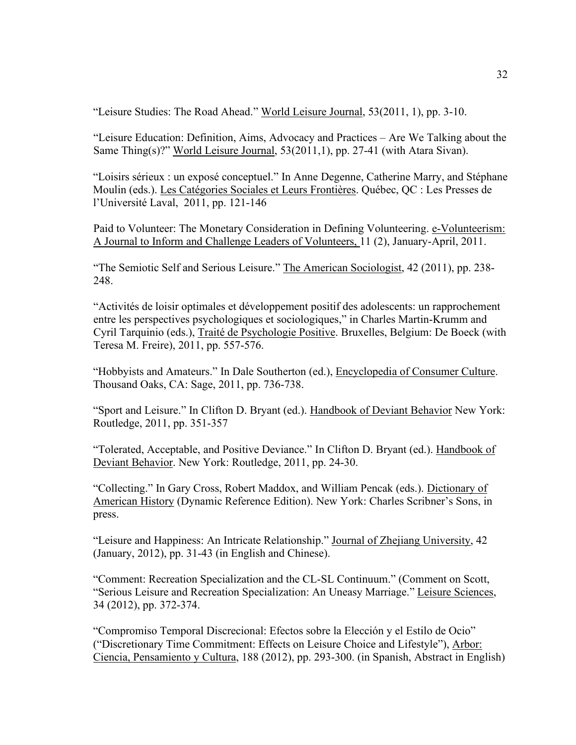"Leisure Studies: The Road Ahead." World Leisure Journal, 53(2011, 1), pp. 3-10.

"Leisure Education: Definition, Aims, Advocacy and Practices – Are We Talking about the Same Thing(s)?" World Leisure Journal, 53(2011,1), pp. 27-41 (with Atara Sivan).

"Loisirs sérieux : un exposé conceptuel." In Anne Degenne, Catherine Marry, and Stéphane Moulin (eds.). Les Catégories Sociales et Leurs Frontières. Québec, QC : Les Presses de l'Université Laval, 2011, pp. 121-146

Paid to Volunteer: The Monetary Consideration in Defining Volunteering. e-Volunteerism: A Journal to Inform and Challenge Leaders of Volunteers, 11 (2), January-April, 2011.

"The Semiotic Self and Serious Leisure." The American Sociologist, 42 (2011), pp. 238-248.

"Activités de loisir optimales et développement positif des adolescents: un rapprochement entre les perspectives psychologiques et sociologiques," in Charles Martin-Krumm and Cyril Tarquinio (eds.), Traité de Psychologie Positive. Bruxelles, Belgium: De Boeck (with Teresa M. Freire), 2011, pp. 557-576.

"Hobbyists and Amateurs." In Dale Southerton (ed.), Encyclopedia of Consumer Culture. Thousand Oaks, CA: Sage, 2011, pp. 736-738.

"Sport and Leisure." In Clifton D. Bryant (ed.). Handbook of Deviant Behavior New York: Routledge, 2011, pp. 351-357

"Tolerated, Acceptable, and Positive Deviance." In Clifton D. Bryant (ed.). Handbook of Deviant Behavior. New York: Routledge, 2011, pp. 24-30.

"Collecting." In Gary Cross, Robert Maddox, and William Pencak (eds.). Dictionary of American History (Dynamic Reference Edition). New York: Charles Scribner's Sons, in press.

"Leisure and Happiness: An Intricate Relationship." Journal of Zhejiang University, 42 (January, 2012), pp. 31-43 (in English and Chinese).

"Comment: Recreation Specialization and the CL-SL Continuum." (Comment on Scott, "Serious Leisure and Recreation Specialization: An Uneasy Marriage." Leisure Sciences, 34 (2012), pp. 372-374.

"Compromiso Temporal Discrecional: Efectos sobre la Elección y el Estilo de Ocio" ("Discretionary Time Commitment: Effects on Leisure Choice and Lifestyle"), Arbor: Ciencia, Pensamiento y Cultura, 188 (2012), pp. 293-300. (in Spanish, Abstract in English)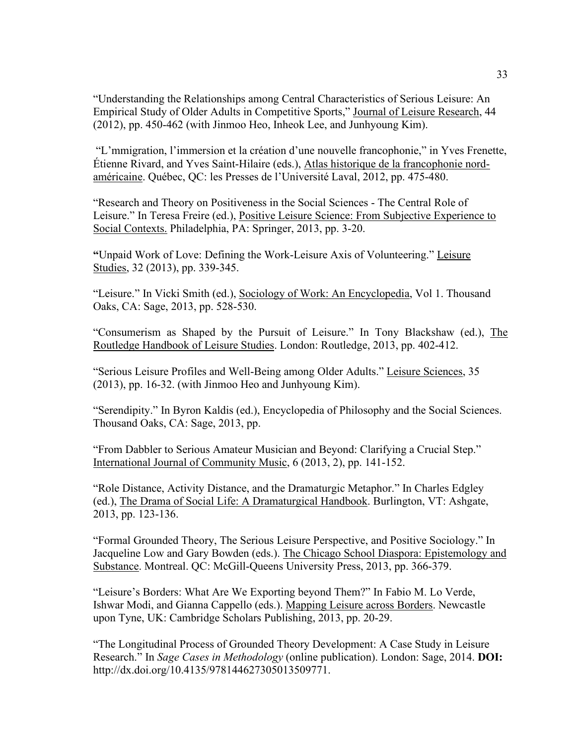"Understanding the Relationships among Central Characteristics of Serious Leisure: An Empirical Study of Older Adults in Competitive Sports," Journal of Leisure Research, 44 (2012), pp. 450-462 (with Jinmoo Heo, Inheok Lee, and Junhyoung Kim).

"L'mmigration, l'immersion et la création d'une nouvelle francophonie," in Yves Frenette, Étienne Rivard, and Yves Saint-Hilaire (eds.), Atlas historique de la francophonie nordaméricaine. Québec, QC: les Presses de l'Université Laval, 2012, pp. 475-480.

"Research and Theory on Positiveness in the Social Sciences - The Central Role of Leisure." In Teresa Freire (ed.), Positive Leisure Science: From Subjective Experience to Social Contexts. Philadelphia, PA: Springer, 2013, pp. 3-20.

**"**Unpaid Work of Love: Defining the Work-Leisure Axis of Volunteering." Leisure Studies, 32 (2013), pp. 339-345.

"Leisure." In Vicki Smith (ed.), Sociology of Work: An Encyclopedia, Vol 1. Thousand Oaks, CA: Sage, 2013, pp. 528-530.

"Consumerism as Shaped by the Pursuit of Leisure." In Tony Blackshaw (ed.), The Routledge Handbook of Leisure Studies. London: Routledge, 2013, pp. 402-412.

"Serious Leisure Profiles and Well-Being among Older Adults." Leisure Sciences, 35 (2013), pp. 16-32. (with Jinmoo Heo and Junhyoung Kim).

"Serendipity." In Byron Kaldis (ed.), Encyclopedia of Philosophy and the Social Sciences. Thousand Oaks, CA: Sage, 2013, pp.

"From Dabbler to Serious Amateur Musician and Beyond: Clarifying a Crucial Step." International Journal of Community Music, 6 (2013, 2), pp. 141-152.

"Role Distance, Activity Distance, and the Dramaturgic Metaphor." In Charles Edgley (ed.), The Drama of Social Life: A Dramaturgical Handbook. Burlington, VT: Ashgate, 2013, pp. 123-136.

"Formal Grounded Theory, The Serious Leisure Perspective, and Positive Sociology." In Jacqueline Low and Gary Bowden (eds.). The Chicago School Diaspora: Epistemology and Substance. Montreal. QC: McGill-Queens University Press, 2013, pp. 366-379.

"Leisure's Borders: What Are We Exporting beyond Them?" In Fabio M. Lo Verde, Ishwar Modi, and Gianna Cappello (eds.). Mapping Leisure across Borders. Newcastle upon Tyne, UK: Cambridge Scholars Publishing, 2013, pp. 20-29.

"The Longitudinal Process of Grounded Theory Development: A Case Study in Leisure Research." In *Sage Cases in Methodology* (online publication). London: Sage, 2014. **DOI:** [http://dx.doi.org/10.4135/978144627305013509771.](http://dx.doi.org/10.4135/978144627305013509771)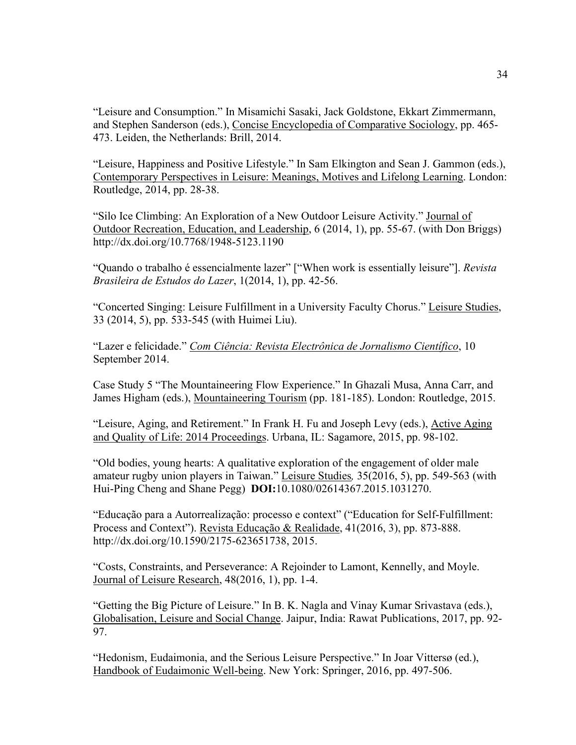"Leisure and Consumption." In Misamichi Sasaki, Jack Goldstone, Ekkart Zimmermann, and Stephen Sanderson (eds.), Concise Encyclopedia of Comparative Sociology, pp. 465- 473. Leiden, the Netherlands: Brill, 2014.

"Leisure, Happiness and Positive Lifestyle." In Sam Elkington and Sean J. Gammon (eds.), Contemporary Perspectives in Leisure: Meanings, Motives and Lifelong Learning. London: Routledge, 2014, pp. 28-38.

"Silo Ice Climbing: An Exploration of a New Outdoor Leisure Activity." Journal of Outdoor Recreation, Education, and Leadership, 6 (2014, 1), pp. 55-67. (with Don Briggs) <http://dx.doi.org/10.7768/1948-5123.1190>

["Quando o trabalho é essencialmente lazer"](https://seer.lcc.ufmg.br/index.php/rbel/article/view/331) ["When work is essentially leisure"]. *Revista Brasileira de Estudos do Lazer*, 1(2014, 1), pp. 42-56.

"Concerted Singing: Leisure Fulfillment in a University Faculty Chorus." Leisure Studies, 33 (2014, 5), pp. 533-545 (with Huimei Liu).

"Lazer e felicidade." *Com Ciência: Revista Electrônica de Jornalismo Científico*, 10 September 2014.

Case Study 5 "The Mountaineering Flow Experience." In Ghazali Musa, Anna Carr, and James Higham (eds.), Mountaineering Tourism (pp. 181-185). London: Routledge, 2015.

"Leisure, Aging, and Retirement." In Frank H. Fu and Joseph Levy (eds.), Active Aging and Quality of Life: 2014 Proceedings. Urbana, IL: Sagamore, 2015, pp. 98-102.

"Old bodies, young hearts: A qualitative exploration of the engagement of older male amateur rugby union players in Taiwan." Leisure Studies*,* 35(2016, 5), pp. 549-563 (with Hui-Ping Cheng and Shane Pegg) **DOI:**10.1080/02614367.2015.1031270.

"Educação para a Autorrealização: processo e context" ("Education for Self-Fulfillment: Process and Context"). Revista Educação & Realidade, 41(2016, 3), pp. 873-888. [http://dx.doi.org/10.1590/2175-623651738,](http://dx.doi.org/10.1590/2175-623651738) 2015.

"Costs, Constraints, and Perseverance: A Rejoinder to Lamont, Kennelly, and Moyle. Journal of Leisure Research, 48(2016, 1), pp. 1-4.

"Getting the Big Picture of Leisure." In B. K. Nagla and Vinay Kumar Srivastava (eds.), Globalisation, Leisure and Social Change. Jaipur, India: Rawat Publications, 2017, pp. 92- 97.

"Hedonism, Eudaimonia, and the Serious Leisure Perspective." In Joar Vittersø (ed.), Handbook of Eudaimonic Well-being. New York: Springer, 2016, pp. 497-506.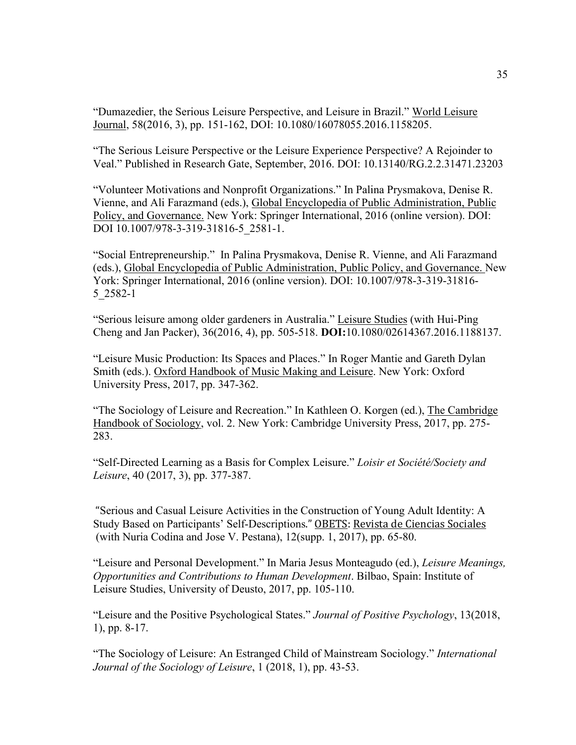"Dumazedier, the Serious Leisure Perspective, and Leisure in Brazil." World Leisure Journal, 58(2016, 3), pp. 151-162, DOI: 10.1080/16078055.2016.1158205.

"The Serious Leisure Perspective or the Leisure Experience Perspective? A Rejoinder to Veal." Published in Research Gate, September, 2016. DOI: 10.13140/RG.2.2.31471.23203

"Volunteer Motivations and Nonprofit Organizations." In Palina Prysmakova, Denise R. Vienne, and Ali Farazmand (eds.), Global Encyclopedia of Public Administration, Public Policy, and Governance. New York: Springer International, 2016 (online version). DOI: DOI 10.1007/978-3-319-31816-5\_2581-1.

"Social Entrepreneurship." In Palina Prysmakova, Denise R. Vienne, and Ali Farazmand (eds.), Global Encyclopedia of Public Administration, Public Policy, and Governance. New York: Springer International, 2016 (online version). DOI: 10.1007/978-3-319-31816- 5\_2582-1

"Serious leisure among older gardeners in Australia." Leisure Studies (with Hui-Ping Cheng and Jan Packer), 36(2016, 4), pp. 505-518. **DOI:**10.1080/02614367.2016.1188137.

"Leisure Music Production: Its Spaces and Places." In Roger Mantie and Gareth Dylan Smith (eds.). Oxford Handbook of Music Making and Leisure. New York: Oxford University Press, 2017, pp. 347-362.

"The Sociology of Leisure and Recreation." In Kathleen O. Korgen (ed.), The Cambridge Handbook of Sociology, vol. 2. New York: Cambridge University Press, 2017, pp. 275- 283.

"Self-Directed Learning as a Basis for Complex Leisure." *Loisir et Société/Society and Leisure*, 40 (2017, 3), pp. 377-387.

"Serious and Casual Leisure Activities in the Construction of Young Adult Identity: A Study Based on Participants' Self-Descriptions." OBETS: Revista de Ciencias Sociales (with Nuria Codina and Jose V. Pestana), 12(supp. 1, 2017), pp. 65-80.

"Leisure and Personal Development." In Maria Jesus Monteagudo (ed.), *Leisure Meanings, Opportunities and Contributions to Human Development*. Bilbao, Spain: Institute of Leisure Studies, University of Deusto, 2017, pp. 105-110.

"Leisure and the Positive Psychological States." *Journal of Positive Psychology*, 13(2018, 1), pp. 8-17.

"The Sociology of Leisure: An Estranged Child of Mainstream Sociology." *International Journal of the Sociology of Leisure*, 1 (2018, 1), pp. 43-53.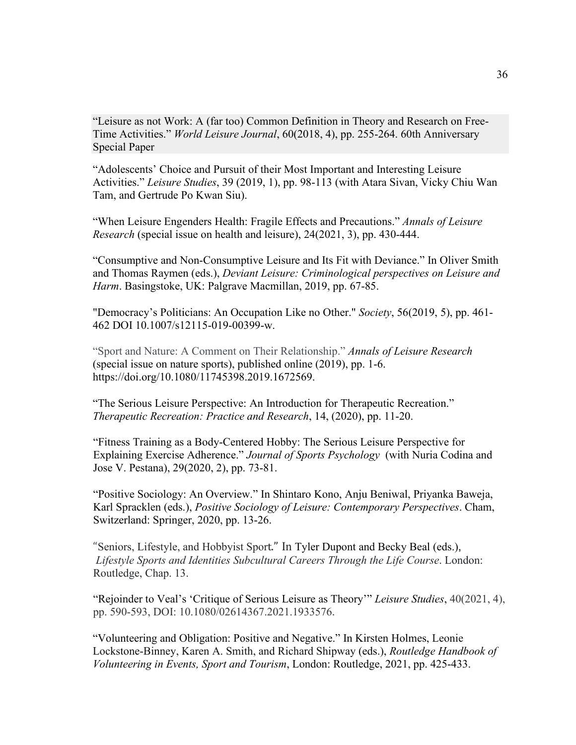"Leisure as not Work: A (far too) Common Definition in Theory and Research on Free-Time Activities." *World Leisure Journal*, 60(2018, 4), pp. 255-264. 60th Anniversary Special Paper

"Adolescents' Choice and Pursuit of their Most Important and Interesting Leisure Activities." *Leisure Studies*, 39 (2019, 1), pp. 98-113 (with Atara Sivan, Vicky Chiu Wan Tam, and Gertrude Po Kwan Siu).

"When Leisure Engenders Health: Fragile Effects and Precautions." *Annals of Leisure Research* (special issue on health and leisure), 24(2021, 3), pp. 430-444.

"Consumptive and Non-Consumptive Leisure and Its Fit with Deviance." In Oliver Smith and Thomas Raymen (eds.), *Deviant Leisure: Criminological perspectives on Leisure and Harm*. Basingstoke, UK: Palgrave Macmillan, 2019, pp. 67-85.

"Democracy's Politicians: An Occupation Like no Other." *Society*, 56(2019, 5), pp. 461- 462 DOI 10.1007/s12115-019-00399-w.

"Sport and Nature: A Comment on Their Relationship." *Annals of Leisure Research*  (special issue on nature sports), published online (2019), pp. 1-6. https://doi.org/10.1080/11745398.2019.1672569.

"The Serious Leisure Perspective: An Introduction for Therapeutic Recreation." *Therapeutic Recreation: Practice and Research*, 14, (2020), pp. 11-20.

"Fitness Training as a Body-Centered Hobby: The Serious Leisure Perspective for Explaining Exercise Adherence." *Journal of Sports Psychology* (with Nuria Codina and Jose V. Pestana), 29(2020, 2), pp. 73-81.

"Positive Sociology: An Overview." In Shintaro Kono, Anju Beniwal, Priyanka Baweja, Karl Spracklen (eds.), *Positive Sociology of Leisure: Contemporary Perspectives*. Cham, Switzerland: Springer, 2020, pp. 13-26.

"Seniors, Lifestyle, and Hobbyist Sport." In [Tyler Dupont](https://www.routledge.com/search?author=Tyler%20Dupont) and [Becky Beal](https://www.routledge.com/search?author=Becky%20Beal) (eds.), *Lifestyle Sports and Identities Subcultural Careers Through the Life Course*. London: Routledge, Chap. 13.

"Rejoinder to Veal's 'Critique of Serious Leisure as Theory'" *Leisure Studies*, 40(2021, 4), pp. 590-593, DOI: 10.1080/02614367.2021.1933576.

"Volunteering and Obligation: Positive and Negative." In Kirsten Holmes, Leonie Lockstone-Binney, Karen A. Smith, and Richard Shipway (eds.), *Routledge Handbook of Volunteering in Events, Sport and Tourism*, London: Routledge, 2021, pp. 425-433.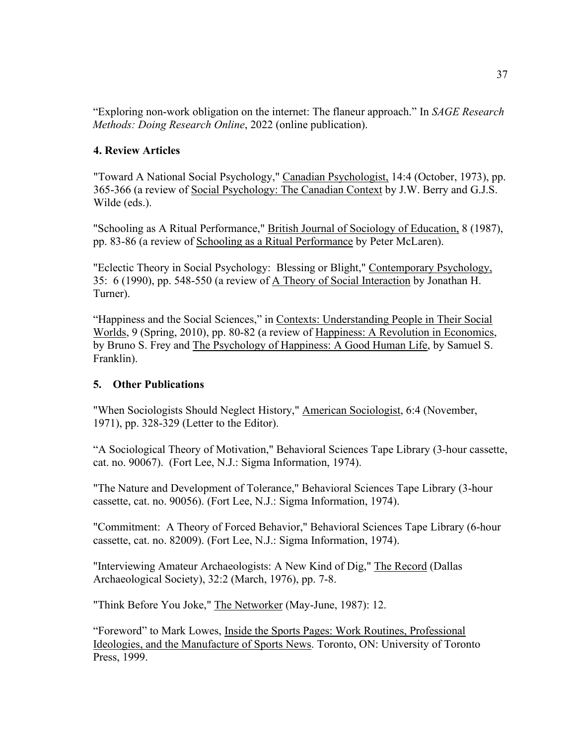"Exploring non-work obligation on the internet: The flaneur approach." In *SAGE Research Methods: Doing Research Online*, 2022 (online publication).

## **4. Review Articles**

"Toward A National Social Psychology," Canadian Psychologist, 14:4 (October, 1973), pp. 365-366 (a review of Social Psychology: The Canadian Context by J.W. Berry and G.J.S. Wilde (eds.).

"Schooling as A Ritual Performance," British Journal of Sociology of Education, 8 (1987), pp. 83-86 (a review of Schooling as a Ritual Performance by Peter McLaren).

"Eclectic Theory in Social Psychology: Blessing or Blight," Contemporary Psychology, 35: 6 (1990), pp. 548-550 (a review of A Theory of Social Interaction by Jonathan H. Turner).

"Happiness and the Social Sciences," in Contexts: Understanding People in Their Social Worlds, 9 (Spring, 2010), pp. 80-82 (a review of Happiness: A Revolution in Economics, by Bruno S. Frey and The Psychology of Happiness: A Good Human Life, by Samuel S. Franklin).

#### **5. Other Publications**

"When Sociologists Should Neglect History," American Sociologist, 6:4 (November, 1971), pp. 328-329 (Letter to the Editor).

"A Sociological Theory of Motivation," Behavioral Sciences Tape Library (3-hour cassette, cat. no. 90067). (Fort Lee, N.J.: Sigma Information, 1974).

"The Nature and Development of Tolerance," Behavioral Sciences Tape Library (3-hour cassette, cat. no. 90056). (Fort Lee, N.J.: Sigma Information, 1974).

"Commitment: A Theory of Forced Behavior," Behavioral Sciences Tape Library (6-hour cassette, cat. no. 82009). (Fort Lee, N.J.: Sigma Information, 1974).

"Interviewing Amateur Archaeologists: A New Kind of Dig," The Record (Dallas Archaeological Society), 32:2 (March, 1976), pp. 7-8.

"Think Before You Joke," The Networker (May-June, 1987): 12.

"Foreword" to Mark Lowes, Inside the Sports Pages: Work Routines, Professional Ideologies, and the Manufacture of Sports News. Toronto, ON: University of Toronto Press, 1999.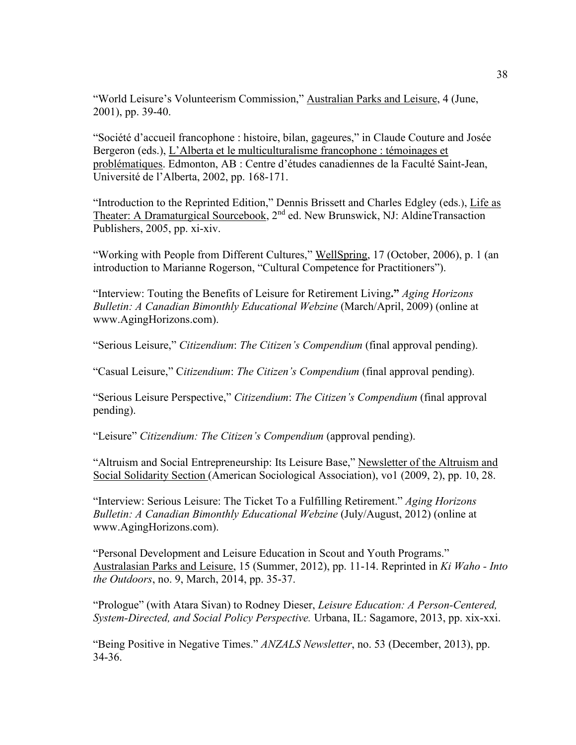"World Leisure's Volunteerism Commission," Australian Parks and Leisure, 4 (June, 2001), pp. 39-40.

"Société d'accueil francophone : histoire, bilan, gageures," in Claude Couture and Josée Bergeron (eds.), L'Alberta et le multiculturalisme francophone : témoinages et problématiques. Edmonton, AB : Centre d'études canadiennes de la Faculté Saint-Jean, Université de l'Alberta, 2002, pp. 168-171.

"Introduction to the Reprinted Edition," Dennis Brissett and Charles Edgley (eds.), Life as Theater: A Dramaturgical Sourcebook, 2nd ed. New Brunswick, NJ: AldineTransaction Publishers, 2005, pp. xi-xiv.

"Working with People from Different Cultures," WellSpring, 17 (October, 2006), p. 1 (an introduction to Marianne Rogerson, "Cultural Competence for Practitioners").

"Interview: Touting the Benefits of Leisure for Retirement Living**."** *Aging Horizons Bulletin: A Canadian Bimonthly Educational Webzine* (March/April, 2009) (online at www.AgingHorizons.com).

"Serious Leisure," *Citizendium*: *The Citizen's Compendium* (final approval pending).

"Casual Leisure," C*itizendium*: *The Citizen's Compendium* (final approval pending).

"Serious Leisure Perspective," *Citizendium*: *The Citizen's Compendium* (final approval pending).

"Leisure" *Citizendium: The Citizen's Compendium* (approval pending).

"Altruism and Social Entrepreneurship: Its Leisure Base," Newsletter of the Altruism and Social Solidarity Section (American Sociological Association), vo1 (2009, 2), pp. 10, 28.

"Interview: Serious Leisure: The Ticket To a Fulfilling Retirement." *Aging Horizons Bulletin: A Canadian Bimonthly Educational Webzine* (July/August, 2012) (online at www.AgingHorizons.com).

"Personal Development and Leisure Education in Scout and Youth Programs." Australasian Parks and Leisure, 15 (Summer, 2012), pp. 11-14. Reprinted in *Ki Waho - Into the Outdoors*, no. 9, March, 2014, pp. 35-37.

"Prologue" (with Atara Sivan) to Rodney Dieser, *Leisure Education: A Person-Centered, System-Directed, and Social Policy Perspective.* Urbana, IL: Sagamore, 2013, pp. xix-xxi.

"Being Positive in Negative Times." *ANZALS Newsletter*, no. 53 (December, 2013), pp. 34-36.